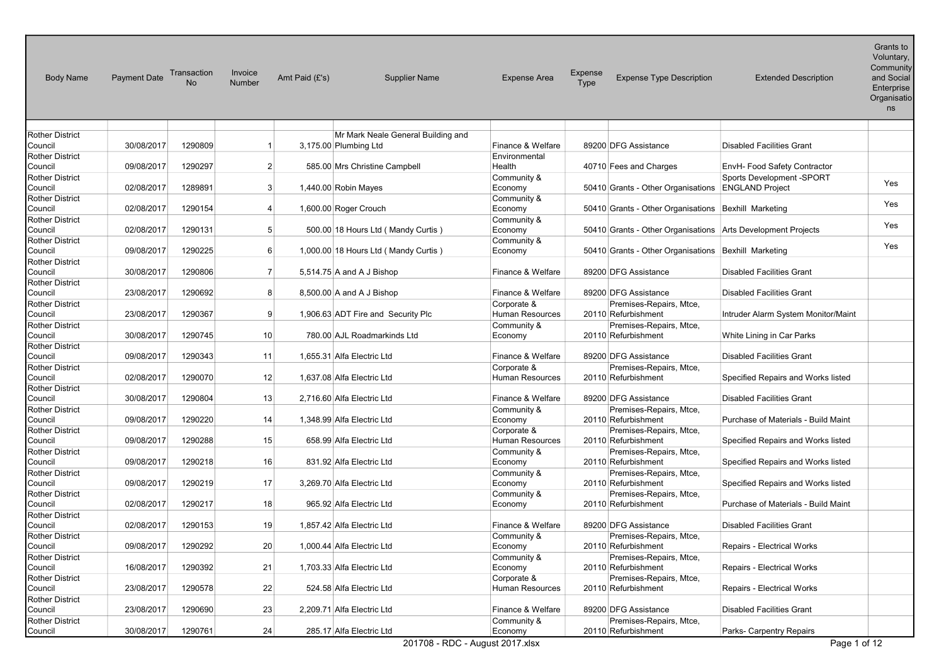| <b>Body Name</b>                  | <b>Payment Date</b> | Transaction<br>No | Invoice<br>Number | Amt Paid (£'s)             | <b>Supplier Name</b>                   | <b>Expense Area</b>            | <b>Expense</b><br><b>Type</b> | <b>Expense Type Description</b>                              | <b>Extended Description</b>                         | $O(n)$ and $O(n)$<br>Voluntary,<br>Community<br>and Social<br>Enterprise<br>Organisatio<br>ns |
|-----------------------------------|---------------------|-------------------|-------------------|----------------------------|----------------------------------------|--------------------------------|-------------------------------|--------------------------------------------------------------|-----------------------------------------------------|-----------------------------------------------------------------------------------------------|
| <b>Rother District</b>            |                     |                   |                   |                            | Mr Mark Neale General Building and     |                                |                               |                                                              |                                                     |                                                                                               |
| Council                           | 30/08/2017          | 1290809           | 1                 | 3,175.00 Plumbing Ltd      |                                        | Finance & Welfare              |                               | 89200 DFG Assistance                                         | <b>Disabled Facilities Grant</b>                    |                                                                                               |
| <b>Rother District</b><br>Council | 09/08/2017          | 1290297           | $\mathbf{2}$      |                            | 585.00 Mrs Christine Campbell          | Environmental<br>Health        |                               | 40710 Fees and Charges                                       | EnvH- Food Safety Contractor                        |                                                                                               |
| <b>Rother District</b><br>Council | 02/08/2017          | 1289891           | 3 <sup>1</sup>    | 1,440.00 Robin Mayes       |                                        | Community &<br>Economy         |                               | 50410 Grants - Other Organisations                           | Sports Development -SPORT<br><b>ENGLAND Project</b> | Yes                                                                                           |
| <b>Rother District</b><br>Council | 02/08/2017          | 1290154           | 4                 | 1,600.00 Roger Crouch      |                                        | Community &<br>Economy         |                               | 50410 Grants - Other Organisations Bexhill Marketing         |                                                     | Yes                                                                                           |
| <b>Rother District</b><br>Council | 02/08/2017          | 1290131           | 5 <sup>5</sup>    |                            | 500.00 18 Hours Ltd (Mandy Curtis)     | Community &<br>Economy         |                               | 50410 Grants - Other Organisations Arts Development Projects |                                                     | Yes                                                                                           |
| <b>Rother District</b><br>Council | 09/08/2017          | 1290225           | $6 \mid$          |                            | 1,000.00 18 Hours Ltd ( Mandy Curtis ) | Community &<br>Economy         |                               | 50410 Grants - Other Organisations Bexhill Marketing         |                                                     | Yes                                                                                           |
| <b>Rother District</b><br>Council | 30/08/2017          | 1290806           | $\overline{7}$    |                            | 5,514.75 A and A J Bishop              | Finance & Welfare              |                               | 89200 DFG Assistance                                         | <b>Disabled Facilities Grant</b>                    |                                                                                               |
| <b>Rother District</b><br>Council | 23/08/2017          | 1290692           | 8                 |                            | 8,500.00 A and A J Bishop              | Finance & Welfare              |                               | 89200 DFG Assistance                                         | <b>Disabled Facilities Grant</b>                    |                                                                                               |
| <b>Rother District</b><br>Council | 23/08/2017          | 1290367           | 9                 |                            | 1,906.63 ADT Fire and Security Plc     | Corporate &<br>Human Resources |                               | Premises-Repairs, Mtce,<br>20110 Refurbishment               | Intruder Alarm System Monitor/Maint                 |                                                                                               |
| <b>Rother District</b><br>Council | 30/08/2017          | 1290745           | 10 <sup>1</sup>   |                            | 780.00 AJL Roadmarkinds Ltd            | Community &<br>Economy         |                               | Premises-Repairs, Mtce,<br>20110 Refurbishment               | White Lining in Car Parks                           |                                                                                               |
| <b>Rother District</b><br>Council | 09/08/2017          | 1290343           | 11                | 1.655.31 Alfa Electric Ltd |                                        | Finance & Welfare              |                               | 89200 DFG Assistance                                         | <b>Disabled Facilities Grant</b>                    |                                                                                               |
| <b>Rother District</b><br>Council | 02/08/2017          | 1290070           | 12                | 1,637.08 Alfa Electric Ltd |                                        | Corporate &<br>Human Resources |                               | Premises-Repairs, Mtce,<br>20110 Refurbishment               | Specified Repairs and Works listed                  |                                                                                               |
| <b>Rother District</b><br>Council | 30/08/2017          | 1290804           | 13                | 2,716.60 Alfa Electric Ltd |                                        | Finance & Welfare              |                               | 89200 DFG Assistance                                         | <b>Disabled Facilities Grant</b>                    |                                                                                               |
| <b>Rother District</b><br>Council | 09/08/2017          | 1290220           | 14                | 1,348.99 Alfa Electric Ltd |                                        | Community &<br>Economy         |                               | Premises-Repairs, Mtce,<br>20110 Refurbishment               | Purchase of Materials - Build Maint                 |                                                                                               |
| <b>Rother District</b><br>Council | 09/08/2017          | 1290288           | 15                |                            | 658.99 Alfa Electric Ltd               | Corporate &<br>Human Resources |                               | Premises-Repairs, Mtce,<br>20110 Refurbishment               | Specified Repairs and Works listed                  |                                                                                               |
| <b>Rother District</b><br>Council | 09/08/2017          | 1290218           | 16                |                            | 831.92 Alfa Electric Ltd               | Community &<br>Economy         |                               | Premises-Repairs, Mtce,<br>20110 Refurbishment               | Specified Repairs and Works listed                  |                                                                                               |
| <b>Rother District</b><br>Council | 09/08/2017          | 1290219           | 17                | 3,269.70 Alfa Electric Ltd |                                        | Community &<br>Economy         |                               | Premises-Repairs, Mtce,<br>20110 Refurbishment               | Specified Repairs and Works listed                  |                                                                                               |
| <b>Rother District</b><br>Council | 02/08/2017          | 1290217           | 18                |                            | 965.92 Alfa Electric Ltd               | Community &<br>Economy         |                               | Premises-Repairs, Mtce,<br>20110 Refurbishment               | Purchase of Materials - Build Maint                 |                                                                                               |
| <b>Rother District</b><br>Council | 02/08/2017          | 1290153           | 19                | 1,857.42 Alfa Electric Ltd |                                        | Finance & Welfare              |                               | 89200 DFG Assistance                                         | <b>Disabled Facilities Grant</b>                    |                                                                                               |
| <b>Rother District</b><br>Council | 09/08/2017          | 1290292           | 20                | 1,000.44 Alfa Electric Ltd |                                        | Community &<br>Economy         |                               | Premises-Repairs, Mtce.<br>20110 Refurbishment               | Repairs - Electrical Works                          |                                                                                               |
| <b>Rother District</b><br>Council | 16/08/2017          | 1290392           | 21                | 1,703.33 Alfa Electric Ltd |                                        | Community &<br>Economy         |                               | Premises-Repairs, Mtce,<br>20110 Refurbishment               | Repairs - Electrical Works                          |                                                                                               |
| <b>Rother District</b><br>Council | 23/08/2017          | 1290578           | 22                |                            | 524.58 Alfa Electric Ltd               | Corporate &<br>Human Resources |                               | Premises-Repairs, Mtce,<br>20110 Refurbishment               | Repairs - Electrical Works                          |                                                                                               |
| <b>Rother District</b><br>Council | 23/08/2017          | 1290690           | 23                | 2,209.71 Alfa Electric Ltd |                                        | Finance & Welfare              |                               | 89200 DFG Assistance                                         | <b>Disabled Facilities Grant</b>                    |                                                                                               |
| <b>Rother District</b><br>Council | 30/08/2017          | 1290761           | 24                |                            | 285.17 Alfa Electric Ltd               | Community &<br>Economy         |                               | Premises-Repairs, Mtce,<br>20110 Refurbishment               | Parks- Carpentry Repairs                            |                                                                                               |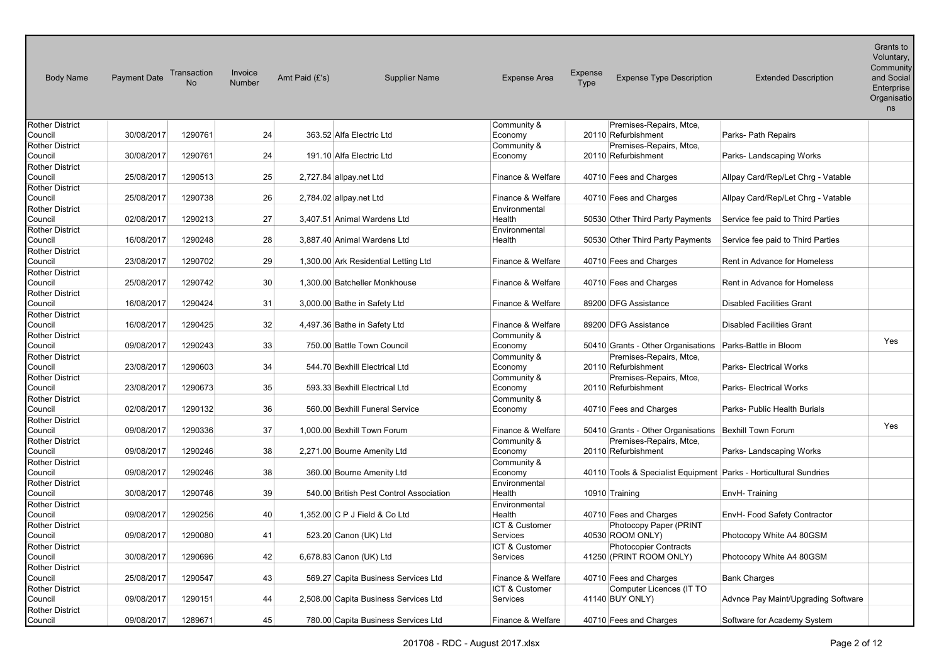| <b>Body Name</b>                  | <b>Payment Date</b> | Transaction<br>No | Invoice<br><b>Number</b> | Amt Paid (£'s)                        | <b>Supplier Name</b>                    | <b>Expense Area</b>     | <b>Expense</b><br>Type | <b>Expense Type Description</b>                       | <b>Extended Description</b>                                       | Grants to<br>Voluntary,<br>Community<br>and Social<br>Enterprise<br>Organisatio<br>ns |
|-----------------------------------|---------------------|-------------------|--------------------------|---------------------------------------|-----------------------------------------|-------------------------|------------------------|-------------------------------------------------------|-------------------------------------------------------------------|---------------------------------------------------------------------------------------|
| Rother District                   |                     |                   |                          |                                       |                                         | Community &             |                        | Premises-Repairs, Mtce,                               |                                                                   |                                                                                       |
| Council                           | 30/08/2017          | 1290761           | 24                       | 363.52 Alfa Electric Ltd              |                                         | Economy                 |                        | 20110 Refurbishment                                   | Parks- Path Repairs                                               |                                                                                       |
| <b>Rother District</b>            |                     |                   |                          |                                       |                                         | Community &             |                        | Premises-Repairs, Mtce,                               |                                                                   |                                                                                       |
| Council                           | 30/08/2017          | 1290761           | 24                       | 191.10 Alfa Electric Ltd              |                                         | Economy                 |                        | 20110 Refurbishment                                   | Parks-Landscaping Works                                           |                                                                                       |
| <b>Rother District</b>            |                     |                   |                          |                                       |                                         |                         |                        |                                                       |                                                                   |                                                                                       |
| Council                           | 25/08/2017          | 1290513           | 25                       | 2,727.84 allpay.net Ltd               |                                         | Finance & Welfare       |                        | 40710 Fees and Charges                                | Allpay Card/Rep/Let Chrg - Vatable                                |                                                                                       |
| <b>Rother District</b>            |                     |                   |                          |                                       |                                         |                         |                        |                                                       |                                                                   |                                                                                       |
| Council                           | 25/08/2017          | 1290738           | 26                       | 2,784.02 allpay.net Ltd               |                                         | Finance & Welfare       |                        | 40710 Fees and Charges                                | Allpay Card/Rep/Let Chrg - Vatable                                |                                                                                       |
| <b>Rother District</b>            | 02/08/2017          | 1290213           | 27                       | 3,407.51 Animal Wardens Ltd           |                                         | Environmental<br>Health |                        |                                                       |                                                                   |                                                                                       |
| Council<br><b>Rother District</b> |                     |                   |                          |                                       |                                         | Environmental           |                        | 50530 Other Third Party Payments                      | Service fee paid to Third Parties                                 |                                                                                       |
| Council                           | 16/08/2017          | 1290248           | 28                       | 3.887.40 Animal Wardens Ltd           |                                         | Health                  |                        | 50530 Other Third Party Payments                      | Service fee paid to Third Parties                                 |                                                                                       |
| <b>Rother District</b>            |                     |                   |                          |                                       |                                         |                         |                        |                                                       |                                                                   |                                                                                       |
| Council                           | 23/08/2017          | 1290702           | 29                       | 1,300.00 Ark Residential Letting Ltd  |                                         | Finance & Welfare       |                        | 40710 Fees and Charges                                | Rent in Advance for Homeless                                      |                                                                                       |
| <b>Rother District</b>            |                     |                   |                          |                                       |                                         |                         |                        |                                                       |                                                                   |                                                                                       |
| Council                           | 25/08/2017          | 1290742           | 30 <sup>°</sup>          | 1,300.00 Batcheller Monkhouse         |                                         | Finance & Welfare       |                        | 40710 Fees and Charges                                | Rent in Advance for Homeless                                      |                                                                                       |
| <b>Rother District</b>            |                     |                   |                          |                                       |                                         |                         |                        |                                                       |                                                                   |                                                                                       |
| Council                           | 16/08/2017          | 1290424           | 31                       | 3,000.00 Bathe in Safety Ltd          |                                         | Finance & Welfare       |                        | 89200 DFG Assistance                                  | <b>Disabled Facilities Grant</b>                                  |                                                                                       |
| <b>Rother District</b>            |                     |                   |                          |                                       |                                         |                         |                        |                                                       |                                                                   |                                                                                       |
| Council                           | 16/08/2017          | 1290425           | 32                       | 4,497.36 Bathe in Safety Ltd          |                                         | Finance & Welfare       |                        | 89200 DFG Assistance                                  | <b>Disabled Facilities Grant</b>                                  |                                                                                       |
| <b>Rother District</b>            |                     |                   |                          |                                       |                                         | Community &             |                        |                                                       |                                                                   |                                                                                       |
| Council                           | 09/08/2017          | 1290243           | 33                       | 750.00 Battle Town Council            |                                         | Economy                 |                        | 50410 Grants - Other Organisations                    | Parks-Battle in Bloom                                             | Yes                                                                                   |
| <b>Rother District</b>            |                     |                   |                          |                                       |                                         | Community &             |                        | Premises-Repairs, Mtce,                               |                                                                   |                                                                                       |
| Council                           | 23/08/2017          | 1290603           | 34                       | 544.70 Bexhill Electrical Ltd         |                                         | Economy                 |                        | 20110 Refurbishment                                   | <b>Parks-Electrical Works</b>                                     |                                                                                       |
| <b>Rother District</b>            |                     |                   |                          |                                       |                                         | Community &             |                        | Premises-Repairs, Mtce,                               |                                                                   |                                                                                       |
| Council                           | 23/08/2017          | 1290673           | 35                       | 593.33 Bexhill Electrical Ltd         |                                         | Economy                 |                        | 20110 Refurbishment                                   | Parks- Electrical Works                                           |                                                                                       |
| <b>Rother District</b>            |                     |                   |                          |                                       |                                         | Community &             |                        |                                                       |                                                                   |                                                                                       |
| Council                           | 02/08/2017          | 1290132           | 36                       | 560.00 Bexhill Funeral Service        |                                         | Economy                 |                        | 40710 Fees and Charges                                | Parks- Public Health Burials                                      |                                                                                       |
| <b>Rother District</b>            |                     |                   |                          |                                       |                                         |                         |                        |                                                       |                                                                   |                                                                                       |
| Council                           | 09/08/2017          | 1290336           | 37                       | 1.000.00 Bexhill Town Forum           |                                         | Finance & Welfare       |                        | 50410 Grants - Other Organisations Bexhill Town Forum |                                                                   | Yes                                                                                   |
| <b>Rother District</b>            |                     |                   |                          |                                       |                                         | Community &             |                        | Premises-Repairs, Mtce,                               |                                                                   |                                                                                       |
| Council                           | 09/08/2017          | 1290246           | 38                       | 2,271.00 Bourne Amenity Ltd           |                                         | Economy                 |                        | 20110 Refurbishment                                   | Parks-Landscaping Works                                           |                                                                                       |
| <b>Rother District</b>            |                     |                   |                          |                                       |                                         | Community &             |                        |                                                       |                                                                   |                                                                                       |
| Council                           | 09/08/2017          | 1290246           | 38                       | 360.00 Bourne Amenity Ltd             |                                         | Economy                 |                        |                                                       | 40110 Tools & Specialist Equipment Parks - Horticultural Sundries |                                                                                       |
| <b>Rother District</b>            |                     |                   |                          |                                       |                                         | Environmental           |                        |                                                       |                                                                   |                                                                                       |
| Council                           | 30/08/2017          | 1290746           | 39                       |                                       | 540.00 British Pest Control Association | Health                  | 10910 Training         |                                                       | EnvH-Training                                                     |                                                                                       |
| <b>Rother District</b>            |                     |                   |                          |                                       |                                         | Environmental           |                        |                                                       |                                                                   |                                                                                       |
| Council                           | 09/08/2017          | 1290256           | 40                       | 1,352.00 C P J Field & Co Ltd         |                                         | Health                  |                        | 40710 Fees and Charges                                | EnvH- Food Safety Contractor                                      |                                                                                       |
| <b>Rother District</b>            |                     |                   |                          |                                       |                                         | ICT & Customer          |                        | Photocopy Paper (PRINT                                |                                                                   |                                                                                       |
| Council                           | 09/08/2017          | 1290080           | 41                       | 523.20 Canon (UK) Ltd                 |                                         | Services                |                        | 40530 ROOM ONLY)                                      | Photocopy White A4 80GSM                                          |                                                                                       |
| <b>Rother District</b>            |                     |                   |                          |                                       |                                         | ICT & Customer          |                        | <b>Photocopier Contracts</b>                          |                                                                   |                                                                                       |
| Council                           | 30/08/2017          | 1290696           | 42                       | 6,678.83 Canon (UK) Ltd               |                                         | Services                |                        | 41250 (PRINT ROOM ONLY)                               | Photocopy White A4 80GSM                                          |                                                                                       |
| <b>Rother District</b>            |                     |                   |                          |                                       |                                         |                         |                        |                                                       |                                                                   |                                                                                       |
| Council                           | 25/08/2017          | 1290547           | 43                       |                                       | 569.27 Capita Business Services Ltd     | Finance & Welfare       |                        | 40710 Fees and Charges                                | <b>Bank Charges</b>                                               |                                                                                       |
| Rother District                   |                     |                   |                          |                                       |                                         | ICT & Customer          |                        | Computer Licences (IT TO                              |                                                                   |                                                                                       |
| Council<br><b>Rother District</b> | 09/08/2017          | 1290151           | 44                       | 2,508.00 Capita Business Services Ltd |                                         | Services                | 41140 BUY ONLY)        |                                                       | Advnce Pay Maint/Upgrading Software                               |                                                                                       |
| Council                           | 09/08/2017          | 1289671           | 45                       | 780.00 Capita Business Services Ltd   |                                         | Finance & Welfare       |                        | 40710 Fees and Charges                                | Software for Academy System                                       |                                                                                       |
|                                   |                     |                   |                          |                                       |                                         |                         |                        |                                                       |                                                                   |                                                                                       |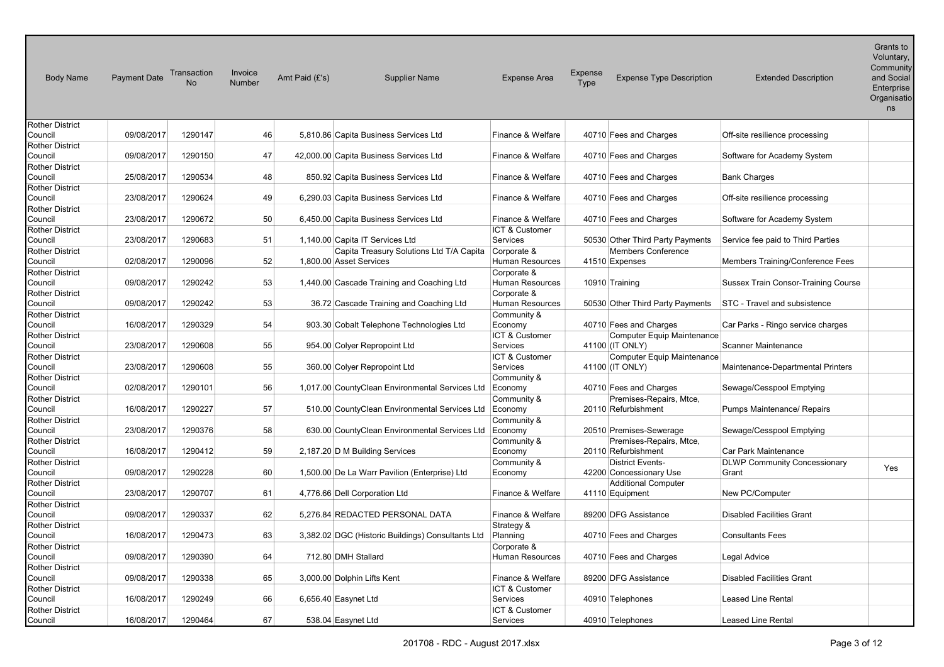| <b>Body Name</b>                                     | Payment Date | Transaction<br><b>No</b> | Invoice<br><b>Number</b> | Amt Paid (£'s) | <b>Supplier Name</b>                                                | <b>Expense Area</b>                          | Expense<br>Type | <b>Expense Type Description</b>                                                           | <b>Extended Description</b>                                 | $O(n)$ and $O(n)$<br>Voluntary,<br>Community<br>and Social<br>Enterprise<br>Organisatio<br>ns |
|------------------------------------------------------|--------------|--------------------------|--------------------------|----------------|---------------------------------------------------------------------|----------------------------------------------|-----------------|-------------------------------------------------------------------------------------------|-------------------------------------------------------------|-----------------------------------------------------------------------------------------------|
| Rother District<br>Council                           | 09/08/2017   | 1290147                  | 46                       |                | 5,810.86 Capita Business Services Ltd                               | Finance & Welfare                            |                 | 40710 Fees and Charges                                                                    | Off-site resilience processing                              |                                                                                               |
| <b>Rother District</b><br>Council                    | 09/08/2017   | 1290150                  | 47                       |                | 42,000.00 Capita Business Services Ltd                              | Finance & Welfare                            |                 | 40710 Fees and Charges                                                                    | Software for Academy System                                 |                                                                                               |
| Rother District<br>Council                           | 25/08/2017   | 1290534                  | 48                       |                | 850.92 Capita Business Services Ltd                                 | Finance & Welfare                            |                 | 40710 Fees and Charges                                                                    | <b>Bank Charges</b>                                         |                                                                                               |
| Rother District<br>Council                           | 23/08/2017   | 1290624                  | 49                       |                | 6,290.03 Capita Business Services Ltd                               | Finance & Welfare                            |                 | 40710 Fees and Charges                                                                    | Off-site resilience processing                              |                                                                                               |
| <b>Rother District</b><br>Council                    | 23/08/2017   | 1290672                  | 50                       |                | 6,450.00 Capita Business Services Ltd                               | Finance & Welfare                            |                 | 40710 Fees and Charges                                                                    | Software for Academy System                                 |                                                                                               |
| <b>Rother District</b><br>Council                    | 23/08/2017   | 1290683                  | 51                       |                | 1,140.00 Capita IT Services Ltd                                     | ICT & Customer<br>Services                   |                 | 50530 Other Third Party Payments                                                          | Service fee paid to Third Parties                           |                                                                                               |
| Rother District<br>Council                           | 02/08/2017   | 1290096                  | 52                       |                | Capita Treasury Solutions Ltd T/A Capita<br>1,800.00 Asset Services | Corporate &<br>Human Resources               |                 | <b>Members Conference</b><br>41510 Expenses                                               | Members Training/Conference Fees                            |                                                                                               |
| Rother District<br>Council                           | 09/08/2017   | 1290242                  | 53                       |                | 1,440.00 Cascade Training and Coaching Ltd                          | Corporate &<br><b>Human Resources</b>        |                 | 10910 Training                                                                            | Sussex Train Consor-Training Course                         |                                                                                               |
| <b>Rother District</b><br>Council                    | 09/08/2017   | 1290242                  | 53                       |                | 36.72 Cascade Training and Coaching Ltd                             | Corporate &<br>Human Resources               |                 | 50530 Other Third Party Payments                                                          | STC - Travel and subsistence                                |                                                                                               |
| Rother District<br>Council                           | 16/08/2017   | 1290329                  | 54                       |                | 903.30 Cobalt Telephone Technologies Ltd                            | Community &<br>Economy                       |                 | 40710 Fees and Charges                                                                    | Car Parks - Ringo service charges                           |                                                                                               |
| <b>Rother District</b><br>Council<br>Rother District | 23/08/2017   | 1290608                  | 55                       |                | 954.00 Colyer Repropoint Ltd                                        | ICT & Customer<br>Services<br>ICT & Customer |                 | <b>Computer Equip Maintenance</b><br>41100 (IT ONLY)<br><b>Computer Equip Maintenance</b> | <b>Scanner Maintenance</b>                                  |                                                                                               |
| Council<br><b>Rother District</b>                    | 23/08/2017   | 1290608                  | 55                       |                | 360.00 Colyer Repropoint Ltd                                        | Services<br>Community &                      |                 | 41100 (IT ONLY)                                                                           | Maintenance-Departmental Printers                           |                                                                                               |
| Council<br><b>Rother District</b>                    | 02/08/2017   | 1290101                  | 56                       |                | 1,017.00 CountyClean Environmental Services Ltd                     | Economy<br>Community &                       |                 | 40710 Fees and Charges<br>Premises-Repairs, Mtce,                                         | Sewage/Cesspool Emptying                                    |                                                                                               |
| Council<br>Rother District                           | 16/08/2017   | 1290227                  | 57                       |                | 510.00 CountyClean Environmental Services Ltd Economy               | Community &                                  |                 | 20110 Refurbishment                                                                       | Pumps Maintenance/ Repairs                                  |                                                                                               |
| Council<br><b>Rother District</b>                    | 23/08/2017   | 1290376                  | 58                       |                | 630.00 CountyClean Environmental Services Ltd                       | Economy<br>Community &                       |                 | 20510 Premises-Sewerage<br>Premises-Repairs, Mtce,                                        | Sewage/Cesspool Emptying                                    |                                                                                               |
| Council<br><b>Rother District</b>                    | 16/08/2017   | 1290412                  | 59                       |                | 2,187.20 D M Building Services                                      | Economy<br>Community &                       |                 | 20110 Refurbishment<br><b>District Events-</b>                                            | Car Park Maintenance<br><b>DLWP Community Concessionary</b> |                                                                                               |
| Council<br>Rother District                           | 09/08/2017   | 1290228                  | 60                       |                | 1,500.00 De La Warr Pavilion (Enterprise) Ltd                       | Economy                                      |                 | 42200 Concessionary Use<br><b>Additional Computer</b>                                     | Grant                                                       | Yes                                                                                           |
| Council<br>Rother District                           | 23/08/2017   | 1290707                  | 61                       |                | 4,776.66 Dell Corporation Ltd                                       | Finance & Welfare                            |                 | 41110 Equipment                                                                           | New PC/Computer                                             |                                                                                               |
| Council<br><b>Rother District</b>                    | 09/08/2017   | 1290337                  | 62                       |                | 5,276.84 REDACTED PERSONAL DATA                                     | Finance & Welfare<br>Strategy &              |                 | 89200 DFG Assistance                                                                      | <b>Disabled Facilities Grant</b>                            |                                                                                               |
| Council<br>Rother District                           | 16/08/2017   | 1290473                  | 63                       |                | 3,382.02 DGC (Historic Buildings) Consultants Ltd                   | Planning<br>Corporate &                      |                 | 40710 Fees and Charges                                                                    | <b>Consultants Fees</b>                                     |                                                                                               |
| Council<br>Rother District                           | 09/08/2017   | 1290390                  | 64                       |                | 712.80 DMH Stallard                                                 | <b>Human Resources</b>                       |                 | 40710 Fees and Charges                                                                    | Legal Advice                                                |                                                                                               |
| Council<br>Rother District                           | 09/08/2017   | 1290338                  | 65                       |                | 3,000.00 Dolphin Lifts Kent                                         | Finance & Welfare<br>ICT & Customer          |                 | 89200 DFG Assistance                                                                      | <b>Disabled Facilities Grant</b>                            |                                                                                               |
| Council<br><b>Rother District</b>                    | 16/08/2017   | 1290249                  | 66                       |                | 6,656.40 Easynet Ltd                                                | Services<br>ICT & Customer                   |                 | 40910 Telephones                                                                          | <b>Leased Line Rental</b>                                   |                                                                                               |
| Council                                              | 16/08/2017   | 1290464                  | 67                       |                | 538.04 Easynet Ltd                                                  | Services                                     |                 | 40910 Telephones                                                                          | Leased Line Rental                                          |                                                                                               |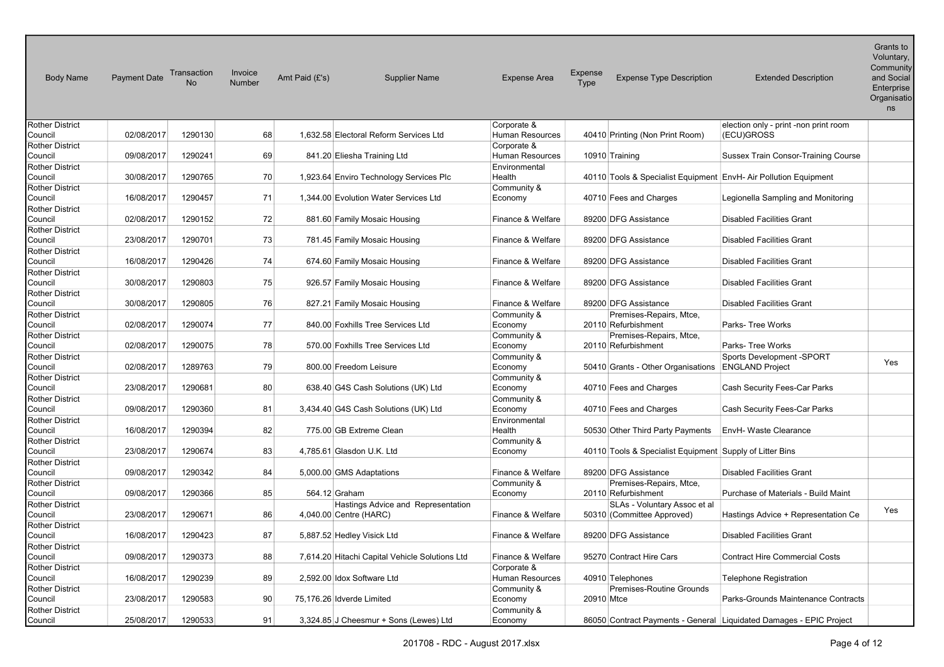| <b>Body Name</b>                                     | Payment Date | Transaction<br><b>No</b> | Invoice<br>Number | Amt Paid (£'s) | <b>Supplier Name</b>                                | <b>Expense Area</b>                   | Expense<br>Type | <b>Expense Type Description</b>                          | <b>Extended Description</b>                                         | $O(n)$ and $O(n)$<br>Voluntary,<br>Community<br>and Social<br>Enterprise<br>Organisatio<br>ns |
|------------------------------------------------------|--------------|--------------------------|-------------------|----------------|-----------------------------------------------------|---------------------------------------|-----------------|----------------------------------------------------------|---------------------------------------------------------------------|-----------------------------------------------------------------------------------------------|
| <b>Rother District</b><br>Council                    | 02/08/2017   | 1290130                  | 68                |                | 1,632.58 Electoral Reform Services Ltd              | Corporate &<br><b>Human Resources</b> |                 | 40410 Printing (Non Print Room)                          | election only - print -non print room<br>(ECU)GROSS                 |                                                                                               |
| <b>Rother District</b><br>Council                    | 09/08/2017   | 1290241                  | 69                |                | 841.20 Eliesha Training Ltd                         | Corporate &<br>Human Resources        |                 | 10910 Training                                           | <b>Sussex Train Consor-Training Course</b>                          |                                                                                               |
| Rother District<br>Council                           | 30/08/2017   | 1290765                  | 70                |                | 1,923.64 Enviro Technology Services Plc             | Environmental<br>Health               |                 |                                                          | 40110 Tools & Specialist Equipment EnvH- Air Pollution Equipment    |                                                                                               |
| Rother District<br>Council                           | 16/08/2017   | 1290457                  | 71                |                | 1.344.00 Evolution Water Services Ltd               | Community &<br>Economy                |                 | 40710 Fees and Charges                                   | Legionella Sampling and Monitoring                                  |                                                                                               |
| <b>Rother District</b><br>Council                    | 02/08/2017   | 1290152                  | 72                |                | 881.60 Family Mosaic Housing                        | Finance & Welfare                     |                 | 89200 DFG Assistance                                     | <b>Disabled Facilities Grant</b>                                    |                                                                                               |
| <b>Rother District</b><br>Council                    | 23/08/2017   | 1290701                  | 73                |                | 781.45 Family Mosaic Housing                        | Finance & Welfare                     |                 | 89200 DFG Assistance                                     | <b>Disabled Facilities Grant</b>                                    |                                                                                               |
| Rother District<br>Council<br><b>Rother District</b> | 16/08/2017   | 1290426                  | 74                |                | 674.60 Family Mosaic Housing                        | Finance & Welfare                     |                 | 89200 DFG Assistance                                     | <b>Disabled Facilities Grant</b>                                    |                                                                                               |
| Council<br><b>Rother District</b>                    | 30/08/2017   | 1290803                  | 75                |                | 926.57 Family Mosaic Housing                        | Finance & Welfare                     |                 | 89200 DFG Assistance                                     | <b>Disabled Facilities Grant</b>                                    |                                                                                               |
| Council<br><b>Rother District</b>                    | 30/08/2017   | 1290805                  | 76                |                | 827.21 Family Mosaic Housing                        | Finance & Welfare<br>Community &      |                 | 89200 DFG Assistance<br>Premises-Repairs, Mtce,          | <b>Disabled Facilities Grant</b>                                    |                                                                                               |
| Council<br><b>Rother District</b>                    | 02/08/2017   | 1290074                  | 77                |                | 840.00 Foxhills Tree Services Ltd                   | Economy<br>Community &                |                 | 20110 Refurbishment<br>Premises-Repairs, Mtce,           | Parks- Tree Works                                                   |                                                                                               |
| Council<br>Rother District                           | 02/08/2017   | 1290075                  | 78                |                | 570.00 Foxhills Tree Services Ltd                   | Economy<br>Community &                |                 | 20110 Refurbishment                                      | Parks- Tree Works<br>Sports Development -SPORT                      |                                                                                               |
| Council<br><b>Rother District</b>                    | 02/08/2017   | 1289763                  | 79                |                | 800.00 Freedom Leisure                              | Economy<br>Community &                |                 | 50410 Grants - Other Organisations                       | <b>ENGLAND Project</b>                                              | Yes                                                                                           |
| Council<br>Rother District                           | 23/08/2017   | 1290681                  | 80                |                | 638.40 G4S Cash Solutions (UK) Ltd                  | Economy<br>Community &                |                 | 40710 Fees and Charges                                   | Cash Security Fees-Car Parks                                        |                                                                                               |
| Council<br>Rother District                           | 09/08/2017   | 1290360                  | 81                |                | 3,434.40 G4S Cash Solutions (UK) Ltd                | Economy<br>Environmental              |                 | 40710 Fees and Charges                                   | Cash Security Fees-Car Parks                                        |                                                                                               |
| Council<br>Rother District                           | 16/08/2017   | 1290394                  | 82                |                | 775.00 GB Extreme Clean                             | Health<br>Community &                 |                 | 50530 Other Third Party Payments                         | EnvH- Waste Clearance                                               |                                                                                               |
| Council<br>Rother District                           | 23/08/2017   | 1290674                  | 83                |                | 4,785.61 Glasdon U.K. Ltd                           | Economy                               |                 | 40110 Tools & Specialist Equipment Supply of Litter Bins |                                                                     |                                                                                               |
| Council<br>Rother District                           | 09/08/2017   | 1290342                  | 84                |                | 5,000.00 GMS Adaptations                            | Finance & Welfare<br>Community &      |                 | 89200 DFG Assistance<br>Premises-Repairs, Mtce,          | <b>Disabled Facilities Grant</b>                                    |                                                                                               |
| Council<br><b>Rother District</b>                    | 09/08/2017   | 1290366                  | 85                |                | 564.12 Graham<br>Hastings Advice and Representation | Economy                               |                 | 20110 Refurbishment<br>SLAs - Voluntary Assoc et al      | Purchase of Materials - Build Maint                                 |                                                                                               |
| Council<br>Rother District                           | 23/08/2017   | 1290671                  | 86                |                | 4,040.00 Centre (HARC)                              | Finance & Welfare                     |                 | 50310 (Committee Approved)                               | Hastings Advice + Representation Ce                                 | Yes                                                                                           |
| Council<br><b>Rother District</b>                    | 16/08/2017   | 1290423                  | 87                |                | 5,887.52 Hedley Visick Ltd                          | Finance & Welfare                     |                 | 89200 DFG Assistance                                     | <b>Disabled Facilities Grant</b>                                    |                                                                                               |
| Council<br>Rother District                           | 09/08/2017   | 1290373                  | 88                |                | 7,614.20 Hitachi Capital Vehicle Solutions Ltd      | Finance & Welfare<br>Corporate &      |                 | 95270 Contract Hire Cars                                 | <b>Contract Hire Commercial Costs</b>                               |                                                                                               |
| Council<br>Rother District                           | 16/08/2017   | 1290239                  | 89                |                | 2,592.00 Idox Software Ltd                          | Human Resources<br>Community &        |                 | 40910 Telephones<br><b>Premises-Routine Grounds</b>      | <b>Telephone Registration</b>                                       |                                                                                               |
| Council<br><b>Rother District</b>                    | 23/08/2017   | 1290583                  | 90                |                | 75,176.26 Idverde Limited                           | Economy<br>Community &                | 20910 Mtce      |                                                          | Parks-Grounds Maintenance Contracts                                 |                                                                                               |
| Council                                              | 25/08/2017   | 1290533                  | 91                |                | 3,324.85 J Cheesmur + Sons (Lewes) Ltd              | Economy                               |                 |                                                          | 86050 Contract Payments - General Liquidated Damages - EPIC Project |                                                                                               |

 $\sim$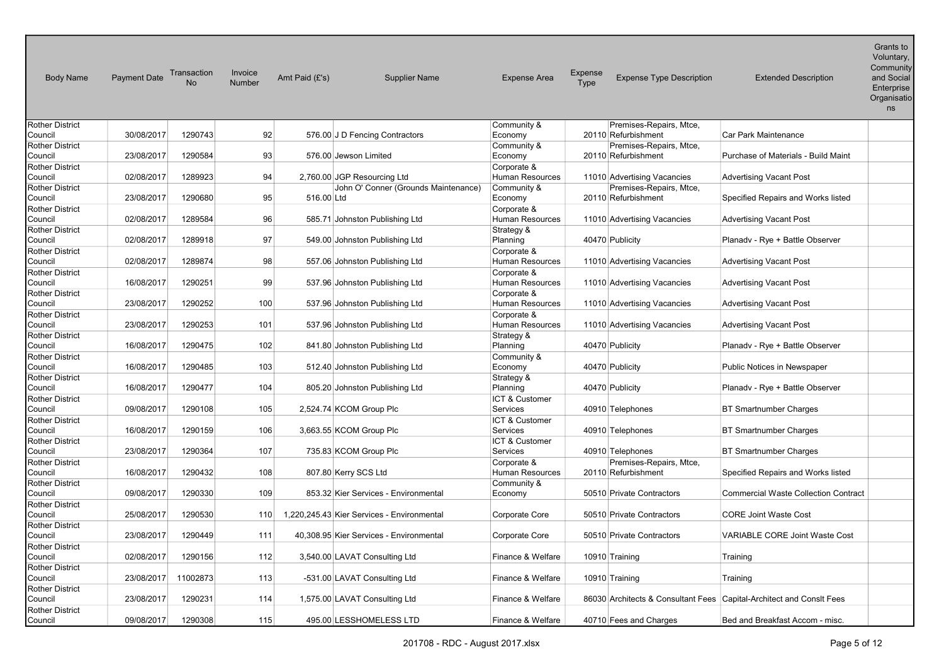| <b>Body Name</b>                  | <b>Payment Date</b> | Transaction<br><b>No</b> | Invoice<br><b>Number</b> | Amt Paid (£'s) | <b>Supplier Name</b>                       | <b>Expense Area</b>        | Expense<br>Type     | <b>Expense Type Description</b> | <b>Extended Description</b>                                          | Grants to<br>Voluntary,<br>Community<br>and Social<br>Enterprise<br>Organisatio<br>ns |
|-----------------------------------|---------------------|--------------------------|--------------------------|----------------|--------------------------------------------|----------------------------|---------------------|---------------------------------|----------------------------------------------------------------------|---------------------------------------------------------------------------------------|
| Rother District                   |                     |                          |                          |                |                                            | Community &                |                     | Premises-Repairs, Mtce,         |                                                                      |                                                                                       |
| Council                           | 30/08/2017          | 1290743                  | 92                       |                | 576.00 J D Fencing Contractors             | Economy                    | 20110 Refurbishment |                                 | Car Park Maintenance                                                 |                                                                                       |
| Rother District                   |                     |                          |                          |                |                                            | Community &                |                     | Premises-Repairs, Mtce,         |                                                                      |                                                                                       |
| Council                           | 23/08/2017          | 1290584                  | 93                       |                | 576.00 Jewson Limited                      | Economy                    | 20110 Refurbishment |                                 | Purchase of Materials - Build Maint                                  |                                                                                       |
| Rother District                   |                     |                          |                          |                |                                            | Corporate &                |                     |                                 |                                                                      |                                                                                       |
| Council                           | 02/08/2017          | 1289923                  | 94                       |                | 2,760.00 JGP Resourcing Ltd                | Human Resources            |                     | 11010 Advertising Vacancies     | <b>Advertising Vacant Post</b>                                       |                                                                                       |
| <b>Rother District</b>            |                     |                          |                          |                | John O' Conner (Grounds Maintenance)       | Community &                |                     | Premises-Repairs, Mtce,         |                                                                      |                                                                                       |
| Council                           | 23/08/2017          | 1290680                  | 95                       | 516.00 Ltd     |                                            | Economy                    | 20110 Refurbishment |                                 | Specified Repairs and Works listed                                   |                                                                                       |
| <b>Rother District</b>            |                     |                          |                          |                |                                            | Corporate &                |                     |                                 |                                                                      |                                                                                       |
| Council                           | 02/08/2017          | 1289584                  | 96                       |                | 585.71 Johnston Publishing Ltd             | <b>Human Resources</b>     |                     | 11010 Advertising Vacancies     | <b>Advertising Vacant Post</b>                                       |                                                                                       |
| <b>Rother District</b>            |                     |                          |                          |                |                                            | Strategy &                 |                     |                                 |                                                                      |                                                                                       |
| Council                           | 02/08/2017          | 1289918                  | 97                       |                | 549.00 Johnston Publishing Ltd             | Planning                   | 40470 Publicity     |                                 | Planadv - Rye + Battle Observer                                      |                                                                                       |
| <b>Rother District</b>            |                     |                          |                          |                |                                            | Corporate &                |                     |                                 |                                                                      |                                                                                       |
| Council                           | 02/08/2017          | 1289874                  | 98                       |                | 557.06 Johnston Publishing Ltd             | <b>Human Resources</b>     |                     | 11010 Advertising Vacancies     | <b>Advertising Vacant Post</b>                                       |                                                                                       |
| <b>Rother District</b>            |                     |                          |                          |                |                                            | Corporate &                |                     |                                 |                                                                      |                                                                                       |
| Council                           | 16/08/2017          | 1290251                  | 99                       |                | 537.96 Johnston Publishing Ltd             | Human Resources            |                     | 11010 Advertising Vacancies     | <b>Advertising Vacant Post</b>                                       |                                                                                       |
| <b>Rother District</b>            |                     |                          |                          |                |                                            | Corporate &                |                     |                                 |                                                                      |                                                                                       |
| Council                           | 23/08/2017          | 1290252                  | 100                      |                | 537.96 Johnston Publishing Ltd             | <b>Human Resources</b>     |                     | 11010 Advertising Vacancies     | <b>Advertising Vacant Post</b>                                       |                                                                                       |
| <b>Rother District</b>            |                     |                          |                          |                |                                            | Corporate &                |                     |                                 |                                                                      |                                                                                       |
| Council                           | 23/08/2017          | 1290253                  | 101                      |                | 537.96 Johnston Publishing Ltd             | <b>Human Resources</b>     |                     | 11010 Advertising Vacancies     | <b>Advertising Vacant Post</b>                                       |                                                                                       |
| <b>Rother District</b>            |                     |                          |                          |                |                                            | Strategy &                 |                     |                                 |                                                                      |                                                                                       |
| Council                           | 16/08/2017          | 1290475                  | 102                      |                | 841.80 Johnston Publishing Ltd             | Planning                   | 40470 Publicity     |                                 | Planady - Rye + Battle Observer                                      |                                                                                       |
| <b>Rother District</b>            |                     |                          |                          |                |                                            | Community &                |                     |                                 |                                                                      |                                                                                       |
| Council                           | 16/08/2017          | 1290485                  | 103                      |                | 512.40 Johnston Publishing Ltd             | Economy                    | 40470 Publicity     |                                 | Public Notices in Newspaper                                          |                                                                                       |
| <b>Rother District</b>            |                     |                          |                          |                |                                            | Strategy &                 |                     |                                 |                                                                      |                                                                                       |
| Council                           | 16/08/2017          | 1290477                  | 104                      |                | 805.20 Johnston Publishing Ltd             | Planning                   | 40470 Publicity     |                                 | Planady - Rye + Battle Observer                                      |                                                                                       |
| <b>Rother District</b><br>Council | 09/08/2017          | 1290108                  | 105                      |                | 2,524.74 KCOM Group Plc                    | ICT & Customer<br>Services | 40910 Telephones    |                                 | <b>BT Smartnumber Charges</b>                                        |                                                                                       |
| <b>Rother District</b>            |                     |                          |                          |                |                                            | ICT & Customer             |                     |                                 |                                                                      |                                                                                       |
| Council                           | 16/08/2017          | 1290159                  | 106                      |                | 3,663.55 KCOM Group Plc                    | Services                   | 40910 Telephones    |                                 | <b>BT Smartnumber Charges</b>                                        |                                                                                       |
| Rother District                   |                     |                          |                          |                |                                            | ICT & Customer             |                     |                                 |                                                                      |                                                                                       |
| Council                           | 23/08/2017          | 1290364                  | 107                      |                | 735.83 KCOM Group Plc                      | Services                   | 40910 Telephones    |                                 | BT Smartnumber Charges                                               |                                                                                       |
| Rother District                   |                     |                          |                          |                |                                            | Corporate &                |                     | Premises-Repairs, Mtce,         |                                                                      |                                                                                       |
| Council                           | 16/08/2017          | 1290432                  | 108                      |                | 807.80 Kerry SCS Ltd                       | Human Resources            | 20110 Refurbishment |                                 | Specified Repairs and Works listed                                   |                                                                                       |
| <b>Rother District</b>            |                     |                          |                          |                |                                            | Community &                |                     |                                 |                                                                      |                                                                                       |
| Council                           | 09/08/2017          | 1290330                  | 109                      |                | 853.32 Kier Services - Environmental       | Economy                    |                     | 50510 Private Contractors       | <b>Commercial Waste Collection Contract</b>                          |                                                                                       |
| Rother District                   |                     |                          |                          |                |                                            |                            |                     |                                 |                                                                      |                                                                                       |
| Council                           | 25/08/2017          | 1290530                  | 110                      |                | 1,220,245.43 Kier Services - Environmental | Corporate Core             |                     | 50510 Private Contractors       | <b>CORE Joint Waste Cost</b>                                         |                                                                                       |
| <b>Rother District</b>            |                     |                          |                          |                |                                            |                            |                     |                                 |                                                                      |                                                                                       |
| Council                           | 23/08/2017          | 1290449                  | 111                      |                | 40,308.95 Kier Services - Environmental    | Corporate Core             |                     | 50510 Private Contractors       | <b>VARIABLE CORE Joint Waste Cost</b>                                |                                                                                       |
| Rother District                   |                     |                          |                          |                |                                            |                            |                     |                                 |                                                                      |                                                                                       |
| Council                           | 02/08/2017          | 1290156                  | 112                      |                | 3,540.00 LAVAT Consulting Ltd              | Finance & Welfare          | 10910 Training      |                                 | Training                                                             |                                                                                       |
| <b>Rother District</b>            |                     |                          |                          |                |                                            |                            |                     |                                 |                                                                      |                                                                                       |
| Council                           | 23/08/2017          | 11002873                 | 113                      |                | -531.00 LAVAT Consulting Ltd               | Finance & Welfare          | 10910 Training      |                                 | Training                                                             |                                                                                       |
| Rother District                   |                     |                          |                          |                |                                            |                            |                     |                                 |                                                                      |                                                                                       |
| Council                           | 23/08/2017          | 1290231                  | 114                      |                | 1,575.00 LAVAT Consulting Ltd              | Finance & Welfare          |                     |                                 | 86030 Architects & Consultant Fees Capital-Architect and Consit Fees |                                                                                       |
| <b>Rother District</b>            |                     |                          |                          |                |                                            |                            |                     |                                 |                                                                      |                                                                                       |
| Council                           | 09/08/2017          | 1290308                  | 115                      |                | 495.00 LESSHOMELESS LTD                    | Finance & Welfare          |                     | 40710 Fees and Charges          | Bed and Breakfast Accom - misc.                                      |                                                                                       |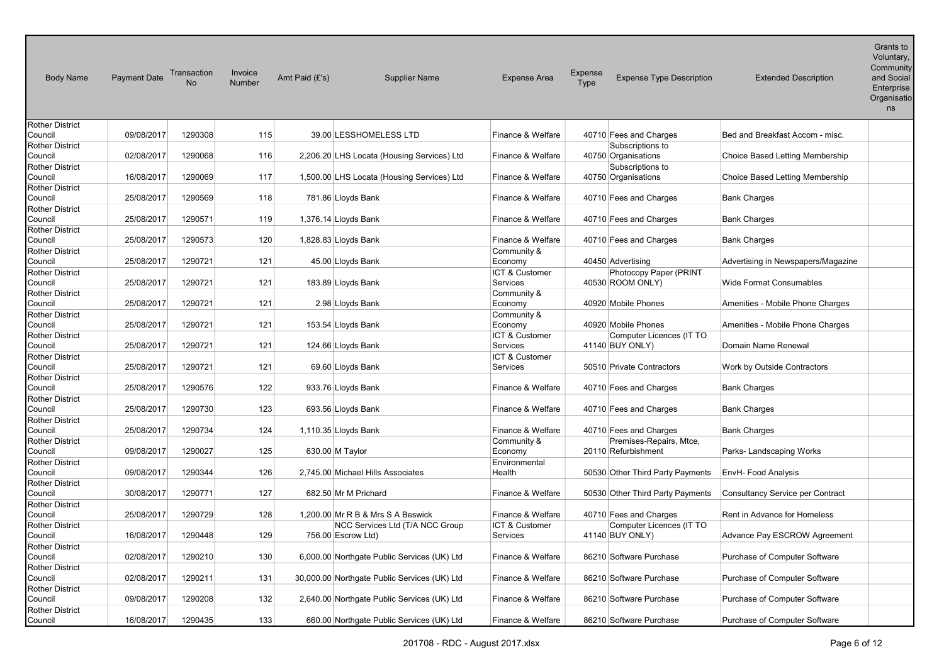| <b>Body Name</b>                  | <b>Payment Date</b> | Transaction | Invoice<br>Number | Amt Paid (£'s) | <b>Supplier Name</b>                         | <b>Expense Area</b>        | Expense<br><b>Expense Type Description</b><br>Type | <b>Extended Description</b>             | Grants to<br>Voluntary,<br>Community<br>and Social<br>Enterprise<br>Organisatio<br>ns |
|-----------------------------------|---------------------|-------------|-------------------|----------------|----------------------------------------------|----------------------------|----------------------------------------------------|-----------------------------------------|---------------------------------------------------------------------------------------|
| <b>Rother District</b>            |                     |             |                   |                |                                              |                            |                                                    |                                         |                                                                                       |
| Council                           | 09/08/2017          | 1290308     | 115               |                | 39.00 LESSHOMELESS LTD                       | Finance & Welfare          | 40710 Fees and Charges                             | Bed and Breakfast Accom - misc.         |                                                                                       |
| Rother District<br>Council        | 02/08/2017          | 1290068     | 116               |                | 2,206.20 LHS Locata (Housing Services) Ltd   | Finance & Welfare          | Subscriptions to<br>40750 Organisations            | Choice Based Letting Membership         |                                                                                       |
| Rother District                   |                     |             |                   |                |                                              |                            | Subscriptions to                                   |                                         |                                                                                       |
| Council                           | 16/08/2017          | 1290069     | 117               |                | 1,500.00 LHS Locata (Housing Services) Ltd   | Finance & Welfare          | 40750 Organisations                                | Choice Based Letting Membership         |                                                                                       |
| <b>Rother District</b>            |                     |             |                   |                |                                              |                            |                                                    |                                         |                                                                                       |
| Council                           | 25/08/2017          | 1290569     | 118               |                | 781.86 Lloyds Bank                           | Finance & Welfare          | 40710 Fees and Charges                             | <b>Bank Charges</b>                     |                                                                                       |
| <b>Rother District</b>            |                     |             |                   |                |                                              |                            |                                                    |                                         |                                                                                       |
| Council                           | 25/08/2017          | 1290571     | 119               |                | 1,376.14 Lloyds Bank                         | Finance & Welfare          | 40710 Fees and Charges                             | <b>Bank Charges</b>                     |                                                                                       |
| <b>Rother District</b>            |                     |             |                   |                |                                              |                            |                                                    |                                         |                                                                                       |
| Council                           | 25/08/2017          | 1290573     | 120               |                | 1,828.83 Lloyds Bank                         | Finance & Welfare          | 40710 Fees and Charges                             | <b>Bank Charges</b>                     |                                                                                       |
| <b>Rother District</b>            |                     |             |                   |                |                                              | Community &                |                                                    |                                         |                                                                                       |
| Council                           | 25/08/2017          | 1290721     | 121               |                | 45.00 Lloyds Bank                            | Economy                    | 40450 Advertising                                  | Advertising in Newspapers/Magazine      |                                                                                       |
| <b>Rother District</b><br>Council | 25/08/2017          | 1290721     | 121               |                | 183.89 Lloyds Bank                           | ICT & Customer<br>Services | Photocopy Paper (PRINT<br>40530 ROOM ONLY)         | Wide Format Consumables                 |                                                                                       |
| <b>Rother District</b>            |                     |             |                   |                |                                              | Community &                |                                                    |                                         |                                                                                       |
| Council                           | 25/08/2017          | 1290721     | 121               |                | 2.98 Lloyds Bank                             | Economy                    | 40920 Mobile Phones                                | Amenities - Mobile Phone Charges        |                                                                                       |
| <b>Rother District</b>            |                     |             |                   |                |                                              | Community &                |                                                    |                                         |                                                                                       |
| Council                           | 25/08/2017          | 1290721     | 121               |                | 153.54 Lloyds Bank                           | Economy                    | 40920 Mobile Phones                                | Amenities - Mobile Phone Charges        |                                                                                       |
| Rother District                   |                     |             |                   |                |                                              | <b>ICT &amp; Customer</b>  | Computer Licences (IT TO                           |                                         |                                                                                       |
| Council                           | 25/08/2017          | 1290721     | 121               |                | 124.66 Lloyds Bank                           | Services                   | 41140 BUY ONLY)                                    | Domain Name Renewal                     |                                                                                       |
| <b>Rother District</b>            |                     |             |                   |                |                                              | ICT & Customer             |                                                    |                                         |                                                                                       |
| Council                           | 25/08/2017          | 1290721     | 121               |                | 69.60 Lloyds Bank                            | Services                   | 50510 Private Contractors                          | Work by Outside Contractors             |                                                                                       |
| Rother District<br>Council        | 25/08/2017          | 1290576     | 122               |                | 933.76 Lloyds Bank                           | Finance & Welfare          | 40710 Fees and Charges                             | <b>Bank Charges</b>                     |                                                                                       |
| <b>Rother District</b>            |                     |             |                   |                |                                              |                            |                                                    |                                         |                                                                                       |
| Council                           | 25/08/2017          | 1290730     | 123               |                | 693.56 Lloyds Bank                           | Finance & Welfare          | 40710 Fees and Charges                             | <b>Bank Charges</b>                     |                                                                                       |
| <b>Rother District</b>            |                     |             |                   |                |                                              |                            |                                                    |                                         |                                                                                       |
| Council                           | 25/08/2017          | 1290734     | 124               |                | 1,110.35 Lloyds Bank                         | Finance & Welfare          | 40710 Fees and Charges                             | <b>Bank Charges</b>                     |                                                                                       |
| Rother District                   |                     |             |                   |                |                                              | Community &                | Premises-Repairs, Mtce,                            |                                         |                                                                                       |
| Council                           | 09/08/2017          | 1290027     | 125               |                | 630.00 M Taylor                              | Economy                    | 20110 Refurbishment                                | Parks-Landscaping Works                 |                                                                                       |
| <b>Rother District</b>            |                     |             |                   |                |                                              | Environmental              |                                                    |                                         |                                                                                       |
| Council                           | 09/08/2017          | 1290344     | 126               |                | 2,745.00 Michael Hills Associates            | Health                     | 50530 Other Third Party Payments                   | <b>EnvH- Food Analysis</b>              |                                                                                       |
| <b>Rother District</b><br>Council | 30/08/2017          | 1290771     | 127               |                | 682.50 Mr M Prichard                         | Finance & Welfare          | 50530 Other Third Party Payments                   | <b>Consultancy Service per Contract</b> |                                                                                       |
| <b>Rother District</b>            |                     |             |                   |                |                                              |                            |                                                    |                                         |                                                                                       |
| Council                           | 25/08/2017          | 1290729     | 128               |                | 1,200.00 Mr R B & Mrs S A Beswick            | Finance & Welfare          | 40710 Fees and Charges                             | Rent in Advance for Homeless            |                                                                                       |
| <b>Rother District</b>            |                     |             |                   |                | NCC Services Ltd (T/A NCC Group              | ICT & Customer             | Computer Licences (IT TO                           |                                         |                                                                                       |
| Council                           | 16/08/2017          | 1290448     | 129               |                | 756.00 Escrow Ltd)                           | Services                   | 41140 BUY ONLY)                                    | Advance Pay ESCROW Agreement            |                                                                                       |
| <b>Rother District</b>            |                     |             |                   |                |                                              |                            |                                                    |                                         |                                                                                       |
| Council                           | 02/08/2017          | 1290210     | 130               |                | 6,000.00 Northgate Public Services (UK) Ltd  | Finance & Welfare          | 86210 Software Purchase                            | Purchase of Computer Software           |                                                                                       |
| <b>Rother District</b>            |                     |             |                   |                |                                              |                            |                                                    |                                         |                                                                                       |
| Council                           | 02/08/2017          | 1290211     | 131               |                | 30,000.00 Northgate Public Services (UK) Ltd | Finance & Welfare          | 86210 Software Purchase                            | Purchase of Computer Software           |                                                                                       |
| <b>Rother District</b>            | 09/08/2017          |             |                   |                |                                              |                            |                                                    |                                         |                                                                                       |
| Council<br><b>Rother District</b> |                     | 1290208     | 132               |                | 2,640.00 Northgate Public Services (UK) Ltd  | Finance & Welfare          | 86210 Software Purchase                            | Purchase of Computer Software           |                                                                                       |
| Council                           | 16/08/2017          | 1290435     | 133               |                | 660.00 Northgate Public Services (UK) Ltd    | Finance & Welfare          | 86210 Software Purchase                            | Purchase of Computer Software           |                                                                                       |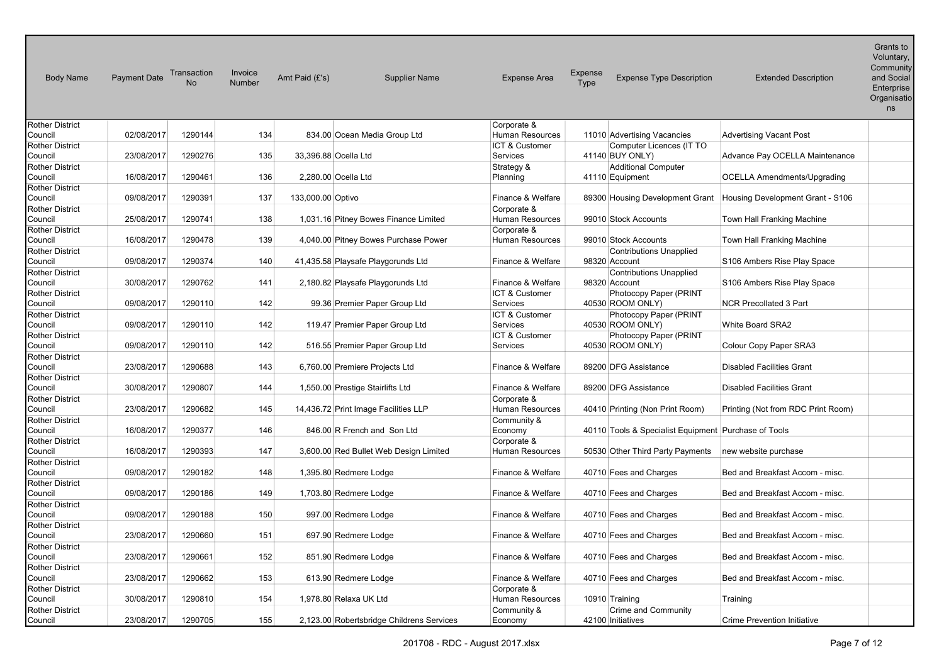| <b>Body Name</b>       | <b>Payment Date</b> | Transaction<br><b>No</b> | Invoice<br>Number | Amt Paid (£'s)                            | <b>Supplier Name</b> | <b>Expense Area</b>    | Expense<br>Type | <b>Expense Type Description</b>                      | <b>Extended Description</b>        | Grants to<br>Voluntary,<br>Community<br>and Social<br>Enterprise<br>Organisatio<br>ns |
|------------------------|---------------------|--------------------------|-------------------|-------------------------------------------|----------------------|------------------------|-----------------|------------------------------------------------------|------------------------------------|---------------------------------------------------------------------------------------|
| <b>Rother District</b> |                     |                          |                   |                                           |                      | Corporate &            |                 |                                                      |                                    |                                                                                       |
| Council                | 02/08/2017          | 1290144                  | 134               | 834.00 Ocean Media Group Ltd              |                      | <b>Human Resources</b> |                 | 11010 Advertising Vacancies                          | <b>Advertising Vacant Post</b>     |                                                                                       |
| <b>Rother District</b> |                     |                          |                   |                                           |                      | ICT & Customer         |                 | Computer Licences (IT TO                             |                                    |                                                                                       |
| Council                | 23/08/2017          | 1290276                  | 135               | 33,396.88 Ocella Ltd                      |                      | Services               |                 | 41140 BUY ONLY)                                      | Advance Pay OCELLA Maintenance     |                                                                                       |
| <b>Rother District</b> |                     |                          |                   |                                           |                      | Strategy &             |                 | <b>Additional Computer</b>                           |                                    |                                                                                       |
| Council                | 16/08/2017          | 1290461                  | 136               | 2,280.00 Ocella Ltd                       |                      | Planning               |                 | 41110 Equipment                                      | <b>OCELLA Amendments/Upgrading</b> |                                                                                       |
| Rother District        |                     |                          |                   |                                           |                      |                        |                 |                                                      |                                    |                                                                                       |
| Council                | 09/08/2017          | 1290391                  | 137               | 133,000.00 Optivo                         |                      | Finance & Welfare      |                 | 89300 Housing Development Grant                      | Housing Development Grant - S106   |                                                                                       |
| <b>Rother District</b> |                     |                          |                   |                                           |                      | Corporate &            |                 |                                                      |                                    |                                                                                       |
| Council                | 25/08/2017          | 1290741                  | 138               | 1,031.16 Pitney Bowes Finance Limited     |                      | Human Resources        |                 | 99010 Stock Accounts                                 | Town Hall Franking Machine         |                                                                                       |
| Rother District        |                     |                          |                   |                                           |                      | Corporate &            |                 |                                                      |                                    |                                                                                       |
| Council                | 16/08/2017          | 1290478                  | 139               | 4,040.00 Pitney Bowes Purchase Power      |                      | <b>Human Resources</b> |                 | 99010 Stock Accounts                                 | Town Hall Franking Machine         |                                                                                       |
| <b>Rother District</b> |                     |                          |                   |                                           |                      |                        |                 | <b>Contributions Unapplied</b>                       |                                    |                                                                                       |
| Council                | 09/08/2017          | 1290374                  | 140               | 41,435.58 Playsafe Playgorunds Ltd        |                      | Finance & Welfare      |                 | 98320 Account                                        | S106 Ambers Rise Play Space        |                                                                                       |
| Rother District        |                     |                          |                   |                                           |                      |                        |                 | <b>Contributions Unapplied</b>                       |                                    |                                                                                       |
| Council                | 30/08/2017          | 1290762                  | 141               | 2,180.82 Playsafe Playgorunds Ltd         |                      | Finance & Welfare      |                 | 98320 Account                                        | S106 Ambers Rise Play Space        |                                                                                       |
| <b>Rother District</b> |                     |                          |                   |                                           |                      | ICT & Customer         |                 | Photocopy Paper (PRINT                               |                                    |                                                                                       |
| Council                | 09/08/2017          | 1290110                  | 142               | 99.36 Premier Paper Group Ltd             |                      | Services               |                 | 40530 ROOM ONLY)                                     | <b>NCR Precollated 3 Part</b>      |                                                                                       |
| Rother District        |                     |                          |                   |                                           |                      | ICT & Customer         |                 | Photocopy Paper (PRINT                               |                                    |                                                                                       |
| Council                | 09/08/2017          | 1290110                  | 142               | 119.47 Premier Paper Group Ltd            |                      | Services               |                 | 40530 ROOM ONLY)                                     | White Board SRA2                   |                                                                                       |
| <b>Rother District</b> |                     |                          |                   |                                           |                      | ICT & Customer         |                 | Photocopy Paper (PRINT                               |                                    |                                                                                       |
| Council                | 09/08/2017          | 1290110                  | 142               | 516.55 Premier Paper Group Ltd            |                      | Services               |                 | 40530 ROOM ONLY)                                     | Colour Copy Paper SRA3             |                                                                                       |
| <b>Rother District</b> |                     |                          |                   |                                           |                      |                        |                 |                                                      |                                    |                                                                                       |
| Council                | 23/08/2017          | 1290688                  | 143               | 6,760.00 Premiere Projects Ltd            |                      | Finance & Welfare      |                 | 89200 DFG Assistance                                 | <b>Disabled Facilities Grant</b>   |                                                                                       |
| <b>Rother District</b> |                     |                          |                   |                                           |                      |                        |                 |                                                      |                                    |                                                                                       |
| Council                | 30/08/2017          | 1290807                  | 144               | 1,550.00 Prestige Stairlifts Ltd          |                      | Finance & Welfare      |                 | 89200 DFG Assistance                                 | <b>Disabled Facilities Grant</b>   |                                                                                       |
| Rother District        |                     |                          |                   |                                           |                      | Corporate &            |                 |                                                      |                                    |                                                                                       |
| Council                | 23/08/2017          | 1290682                  | 145               | 14,436.72 Print Image Facilities LLP      |                      | Human Resources        |                 | 40410 Printing (Non Print Room)                      | Printing (Not from RDC Print Room) |                                                                                       |
| <b>Rother District</b> |                     |                          |                   |                                           |                      | Community &            |                 |                                                      |                                    |                                                                                       |
| Council                | 16/08/2017          | 1290377                  | 146               | 846.00 R French and Son Ltd               |                      | Economy                |                 | 40110 Tools & Specialist Equipment Purchase of Tools |                                    |                                                                                       |
| Rother District        |                     |                          |                   |                                           |                      | Corporate &            |                 |                                                      |                                    |                                                                                       |
| Council                | 16/08/2017          | 1290393                  | 147               | 3,600.00 Red Bullet Web Design Limited    |                      | <b>Human Resources</b> |                 | 50530 Other Third Party Payments                     | new website purchase               |                                                                                       |
| Rother District        |                     |                          |                   |                                           |                      |                        |                 |                                                      |                                    |                                                                                       |
| Council                | 09/08/2017          | 1290182                  | 148               | 1,395.80 Redmere Lodge                    |                      | Finance & Welfare      |                 | 40710 Fees and Charges                               | Bed and Breakfast Accom - misc.    |                                                                                       |
| Rother District        |                     |                          |                   |                                           |                      |                        |                 |                                                      |                                    |                                                                                       |
| Council                | 09/08/2017          | 1290186                  | 149               | 1,703.80 Redmere Lodge                    |                      | Finance & Welfare      |                 | 40710 Fees and Charges                               | Bed and Breakfast Accom - misc.    |                                                                                       |
| <b>Rother District</b> |                     |                          |                   |                                           |                      |                        |                 |                                                      |                                    |                                                                                       |
| Council                | 09/08/2017          | 1290188                  | 150               | 997.00 Redmere Lodge                      |                      | Finance & Welfare      |                 | 40710 Fees and Charges                               | Bed and Breakfast Accom - misc.    |                                                                                       |
| Rother District        |                     |                          |                   |                                           |                      |                        |                 |                                                      |                                    |                                                                                       |
| Council                | 23/08/2017          | 1290660                  | 151               | 697.90 Redmere Lodge                      |                      | Finance & Welfare      |                 | 40710 Fees and Charges                               | Bed and Breakfast Accom - misc.    |                                                                                       |
| Rother District        |                     |                          |                   |                                           |                      |                        |                 |                                                      |                                    |                                                                                       |
| Council                | 23/08/2017          | 1290661                  | 152               | 851.90 Redmere Lodge                      |                      | Finance & Welfare      |                 | 40710 Fees and Charges                               | Bed and Breakfast Accom - misc.    |                                                                                       |
| <b>Rother District</b> |                     |                          |                   |                                           |                      |                        |                 |                                                      |                                    |                                                                                       |
| Council                | 23/08/2017          | 1290662                  | 153               | 613.90 Redmere Lodge                      |                      | Finance & Welfare      |                 | 40710 Fees and Charges                               | Bed and Breakfast Accom - misc.    |                                                                                       |
| Rother District        |                     |                          |                   |                                           |                      | Corporate &            |                 |                                                      |                                    |                                                                                       |
| Council                | 30/08/2017          | 1290810                  | 154               | 1,978.80 Relaxa UK Ltd                    |                      | Human Resources        |                 | 10910 Training                                       | Training                           |                                                                                       |
| <b>Rother District</b> |                     |                          |                   |                                           |                      | Community &            |                 | <b>Crime and Community</b>                           |                                    |                                                                                       |
| Council                | 23/08/2017          | 1290705                  | 155               | 2,123.00 Robertsbridge Childrens Services |                      | Economy                |                 | 42100 Initiatives                                    | <b>Crime Prevention Initiative</b> |                                                                                       |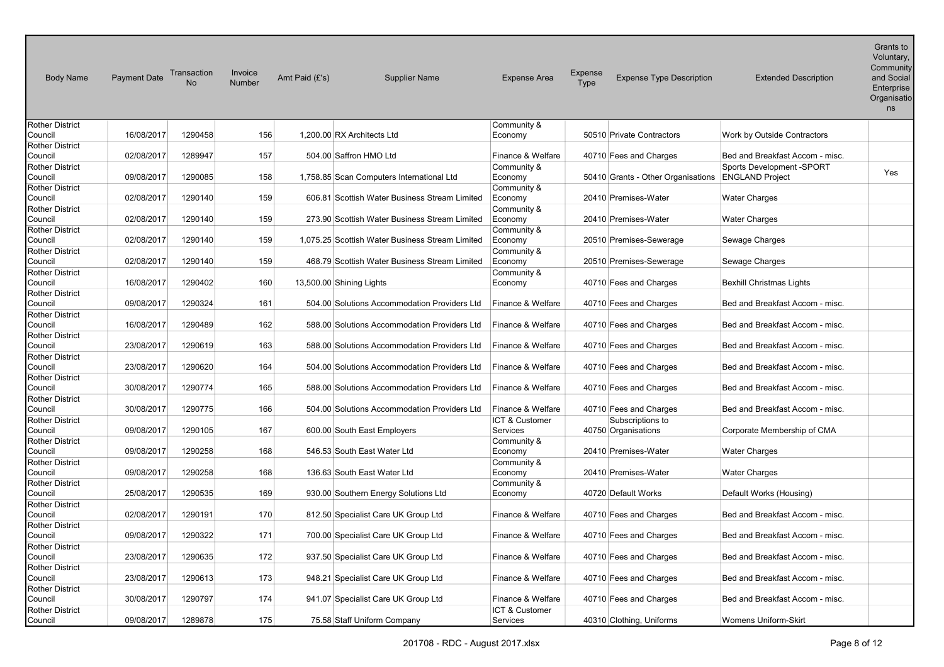| <b>Body Name</b>                  | Payment Date | Transaction<br><b>No</b> | Invoice<br>Number | Amt Paid (£'s) | <b>Supplier Name</b>                            | <b>Expense Area</b>    | Expense<br><b>Expense Type Description</b><br><b>Type</b> | <b>Extended Description</b>     | Grants to<br>Voluntary,<br>Community<br>and Social<br>Enterprise<br>Organisatio<br>ns |
|-----------------------------------|--------------|--------------------------|-------------------|----------------|-------------------------------------------------|------------------------|-----------------------------------------------------------|---------------------------------|---------------------------------------------------------------------------------------|
| <b>Rother District</b>            |              |                          |                   |                |                                                 | Community &            |                                                           |                                 |                                                                                       |
| Council                           | 16/08/2017   | 1290458                  | 156               |                | 1,200.00 RX Architects Ltd                      | Economy                | 50510 Private Contractors                                 | Work by Outside Contractors     |                                                                                       |
| <b>Rother District</b><br>Council | 02/08/2017   | 1289947                  | 157               |                | 504.00 Saffron HMO Ltd                          | Finance & Welfare      | 40710 Fees and Charges                                    | Bed and Breakfast Accom - misc. |                                                                                       |
| <b>Rother District</b>            |              |                          |                   |                |                                                 | Community &            |                                                           | Sports Development -SPORT       |                                                                                       |
| Council                           | 09/08/2017   | 1290085                  | 158               |                | 1,758.85 Scan Computers International Ltd       | Economy                | 50410 Grants - Other Organisations                        | <b>ENGLAND Project</b>          | Yes                                                                                   |
| Rother District                   |              |                          |                   |                |                                                 | Community &            |                                                           |                                 |                                                                                       |
| Council                           | 02/08/2017   | 1290140                  | 159               |                | 606.81 Scottish Water Business Stream Limited   | Economy                | 20410 Premises-Water                                      | <b>Water Charges</b>            |                                                                                       |
| Rother District                   |              |                          |                   |                |                                                 | Community &            |                                                           |                                 |                                                                                       |
| Council                           | 02/08/2017   | 1290140                  | 159               |                | 273.90 Scottish Water Business Stream Limited   | Economy                | 20410 Premises-Water                                      | <b>Water Charges</b>            |                                                                                       |
| Rother District                   |              |                          |                   |                |                                                 | Community &            |                                                           |                                 |                                                                                       |
| Council                           | 02/08/2017   | 1290140                  | 159               |                | 1,075.25 Scottish Water Business Stream Limited | Economy                | 20510 Premises-Sewerage                                   | Sewage Charges                  |                                                                                       |
| Rother District                   |              |                          |                   |                |                                                 | Community &            |                                                           |                                 |                                                                                       |
| Council                           | 02/08/2017   | 1290140                  | 159               |                | 468.79 Scottish Water Business Stream Limited   | Economy                | 20510 Premises-Sewerage                                   | Sewage Charges                  |                                                                                       |
| <b>Rother District</b>            |              |                          |                   |                |                                                 | Community &            |                                                           |                                 |                                                                                       |
| Council                           | 16/08/2017   | 1290402                  | 160               |                | 13,500.00 Shining Lights                        | Economy                | 40710 Fees and Charges                                    | <b>Bexhill Christmas Lights</b> |                                                                                       |
| Rother District<br>Council        | 09/08/2017   | 1290324                  | 161               |                | 504.00 Solutions Accommodation Providers Ltd    | Finance & Welfare      | 40710 Fees and Charges                                    | Bed and Breakfast Accom - misc. |                                                                                       |
| <b>Rother District</b>            |              |                          |                   |                |                                                 |                        |                                                           |                                 |                                                                                       |
| Council                           | 16/08/2017   | 1290489                  | 162               |                | 588.00 Solutions Accommodation Providers Ltd    | Finance & Welfare      | 40710 Fees and Charges                                    | Bed and Breakfast Accom - misc. |                                                                                       |
| Rother District                   |              |                          |                   |                |                                                 |                        |                                                           |                                 |                                                                                       |
| Council                           | 23/08/2017   | 1290619                  | 163               |                | 588.00 Solutions Accommodation Providers Ltd    | Finance & Welfare      | 40710 Fees and Charges                                    | Bed and Breakfast Accom - misc. |                                                                                       |
| <b>Rother District</b>            |              |                          |                   |                |                                                 |                        |                                                           |                                 |                                                                                       |
| Council                           | 23/08/2017   | 1290620                  | 164               |                | 504.00 Solutions Accommodation Providers Ltd    | Finance & Welfare      | 40710 Fees and Charges                                    | Bed and Breakfast Accom - misc. |                                                                                       |
| <b>Rother District</b>            |              |                          |                   |                |                                                 |                        |                                                           |                                 |                                                                                       |
| Council                           | 30/08/2017   | 1290774                  | 165               |                | 588.00 Solutions Accommodation Providers Ltd    | Finance & Welfare      | 40710 Fees and Charges                                    | Bed and Breakfast Accom - misc. |                                                                                       |
| Rother District                   |              |                          |                   |                |                                                 |                        |                                                           |                                 |                                                                                       |
| Council                           | 30/08/2017   | 1290775                  | 166               |                | 504.00 Solutions Accommodation Providers Ltd    | Finance & Welfare      | 40710 Fees and Charges                                    | Bed and Breakfast Accom - misc. |                                                                                       |
| Rother District                   |              |                          |                   |                |                                                 | ICT & Customer         | Subscriptions to                                          |                                 |                                                                                       |
| Council                           | 09/08/2017   | 1290105                  | 167               |                | 600.00 South East Employers                     | Services               | 40750 Organisations                                       | Corporate Membership of CMA     |                                                                                       |
| <b>Rother District</b><br>Council | 09/08/2017   | 1290258                  | 168               |                | 546.53 South East Water Ltd                     | Community &<br>Economy | 20410 Premises-Water                                      | <b>Water Charges</b>            |                                                                                       |
| <b>Rother District</b>            |              |                          |                   |                |                                                 | Community &            |                                                           |                                 |                                                                                       |
| Council                           | 09/08/2017   | 1290258                  | 168               |                | 136.63 South East Water Ltd                     | Economy                | 20410 Premises-Water                                      | <b>Water Charges</b>            |                                                                                       |
| Rother District                   |              |                          |                   |                |                                                 | Community &            |                                                           |                                 |                                                                                       |
| Council                           | 25/08/2017   | 1290535                  | 169               |                | 930.00 Southern Energy Solutions Ltd            | Economy                | 40720 Default Works                                       | Default Works (Housing)         |                                                                                       |
| <b>Rother District</b>            |              |                          |                   |                |                                                 |                        |                                                           |                                 |                                                                                       |
| Council                           | 02/08/2017   | 1290191                  | 170               |                | 812.50 Specialist Care UK Group Ltd             | Finance & Welfare      | 40710 Fees and Charges                                    | Bed and Breakfast Accom - misc. |                                                                                       |
| Rother District                   |              |                          |                   |                |                                                 |                        |                                                           |                                 |                                                                                       |
| Council                           | 09/08/2017   | 1290322                  | 171               |                | 700.00 Specialist Care UK Group Ltd             | Finance & Welfare      | 40710 Fees and Charges                                    | Bed and Breakfast Accom - misc. |                                                                                       |
| Rother District                   |              |                          |                   |                |                                                 |                        |                                                           |                                 |                                                                                       |
| Council                           | 23/08/2017   | 1290635                  | 172               |                | 937.50 Specialist Care UK Group Ltd             | Finance & Welfare      | 40710 Fees and Charges                                    | Bed and Breakfast Accom - misc. |                                                                                       |
| Rother District<br>Council        | 23/08/2017   | 1290613                  | 173               |                |                                                 | Finance & Welfare      |                                                           | Bed and Breakfast Accom - misc. |                                                                                       |
| Rother District                   |              |                          |                   |                | 948.21 Specialist Care UK Group Ltd             |                        | 40710 Fees and Charges                                    |                                 |                                                                                       |
| Council                           | 30/08/2017   | 1290797                  | 174               |                | 941.07 Specialist Care UK Group Ltd             | Finance & Welfare      | 40710 Fees and Charges                                    | Bed and Breakfast Accom - misc. |                                                                                       |
| <b>Rother District</b>            |              |                          |                   |                |                                                 | ICT & Customer         |                                                           |                                 |                                                                                       |
| Council                           | 09/08/2017   | 1289878                  | 175               |                | 75.58 Staff Uniform Company                     | Services               | 40310 Clothing, Uniforms                                  | Womens Uniform-Skirt            |                                                                                       |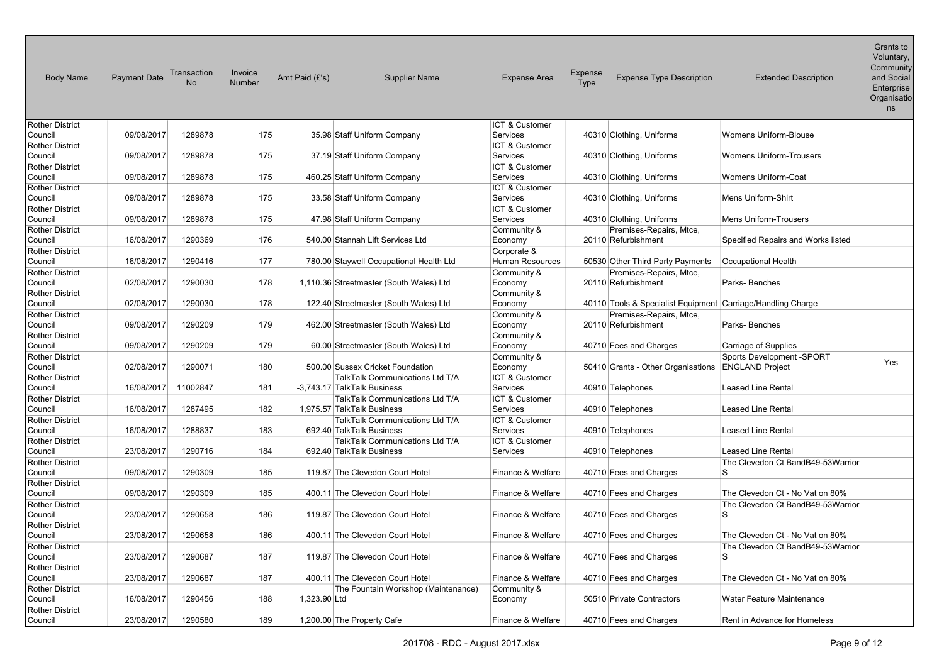| <b>Body Name</b>                  | <b>Payment Date</b> | Transaction<br><b>No</b> | Invoice<br><b>Number</b> | Amt Paid (£'s) | <b>Supplier Name</b>                                           | <b>Expense Area</b>        | Expense<br>Type | <b>Expense Type Description</b>                             | <b>Extended Description</b>             | שו פוווס וש<br>Voluntary,<br>Community<br>and Social<br>Enterprise<br>Organisatio<br>ns |
|-----------------------------------|---------------------|--------------------------|--------------------------|----------------|----------------------------------------------------------------|----------------------------|-----------------|-------------------------------------------------------------|-----------------------------------------|-----------------------------------------------------------------------------------------|
| <b>Rother District</b>            |                     |                          |                          |                |                                                                | ICT & Customer             |                 |                                                             |                                         |                                                                                         |
| Council                           | 09/08/2017          | 1289878                  | 175                      |                | 35.98 Staff Uniform Company                                    | Services                   |                 | 40310 Clothing, Uniforms                                    | <b>Womens Uniform-Blouse</b>            |                                                                                         |
| <b>Rother District</b>            |                     |                          |                          |                |                                                                | ICT & Customer             |                 |                                                             |                                         |                                                                                         |
| Council                           | 09/08/2017          | 1289878                  | 175                      |                | 37.19 Staff Uniform Company                                    | Services                   |                 | 40310 Clothing, Uniforms                                    | <b>Womens Uniform-Trousers</b>          |                                                                                         |
| <b>Rother District</b><br>Council | 09/08/2017          | 1289878                  | 175                      |                |                                                                | ICT & Customer<br>Services |                 |                                                             | <b>Womens Uniform-Coat</b>              |                                                                                         |
| <b>Rother District</b>            |                     |                          |                          |                | 460.25 Staff Uniform Company                                   | ICT & Customer             |                 | 40310 Clothing, Uniforms                                    |                                         |                                                                                         |
| Council                           | 09/08/2017          | 1289878                  | 175                      |                | 33.58 Staff Uniform Company                                    | Services                   |                 | 40310 Clothing, Uniforms                                    | <b>Mens Uniform-Shirt</b>               |                                                                                         |
| <b>Rother District</b>            |                     |                          |                          |                |                                                                | ICT & Customer             |                 |                                                             |                                         |                                                                                         |
| Council                           | 09/08/2017          | 1289878                  | 175                      |                | 47.98 Staff Uniform Company                                    | Services                   |                 | 40310 Clothing, Uniforms                                    | <b>Mens Uniform-Trousers</b>            |                                                                                         |
| Rother District                   |                     |                          |                          |                |                                                                | Community &                |                 | Premises-Repairs, Mtce,                                     |                                         |                                                                                         |
| Council                           | 16/08/2017          | 1290369                  | 176                      |                | 540.00 Stannah Lift Services Ltd                               | Economy                    |                 | 20110 Refurbishment                                         | Specified Repairs and Works listed      |                                                                                         |
| <b>Rother District</b>            |                     |                          |                          |                |                                                                | Corporate &                |                 |                                                             |                                         |                                                                                         |
| Council                           | 16/08/2017          | 1290416                  | 177                      |                | 780.00 Staywell Occupational Health Ltd                        | <b>Human Resources</b>     |                 | 50530 Other Third Party Payments                            | Occupational Health                     |                                                                                         |
| Rother District                   |                     |                          |                          |                |                                                                | Community &                |                 | Premises-Repairs, Mtce,                                     |                                         |                                                                                         |
| Council                           | 02/08/2017          | 1290030                  | 178                      |                | 1,110.36 Streetmaster (South Wales) Ltd                        | Economy                    |                 | 20110 Refurbishment                                         | Parks-Benches                           |                                                                                         |
| <b>Rother District</b>            |                     |                          |                          |                |                                                                | Community &                |                 |                                                             |                                         |                                                                                         |
| Council                           | 02/08/2017          | 1290030                  | 178                      |                | 122.40 Streetmaster (South Wales) Ltd                          | Economy                    |                 | 40110 Tools & Specialist Equipment Carriage/Handling Charge |                                         |                                                                                         |
| <b>Rother District</b>            |                     |                          |                          |                |                                                                | Community &                |                 | Premises-Repairs, Mtce,                                     |                                         |                                                                                         |
| Council                           | 09/08/2017          | 1290209                  | 179                      |                | 462.00 Streetmaster (South Wales) Ltd                          | Economy                    |                 | 20110 Refurbishment                                         | Parks-Benches                           |                                                                                         |
| <b>Rother District</b>            |                     |                          |                          |                |                                                                | Community &                |                 |                                                             |                                         |                                                                                         |
| Council                           | 09/08/2017          | 1290209                  | 179                      |                | 60.00 Streetmaster (South Wales) Ltd                           | Economy                    |                 | 40710 Fees and Charges                                      | Carriage of Supplies                    |                                                                                         |
| Rother District                   |                     |                          |                          |                |                                                                | Community &                |                 |                                                             | Sports Development -SPORT               | Yes                                                                                     |
| Council                           | 02/08/2017          | 1290071                  | 180                      |                | 500.00 Sussex Cricket Foundation                               | Economy                    |                 | 50410 Grants - Other Organisations                          | <b>ENGLAND Project</b>                  |                                                                                         |
| <b>Rother District</b>            | 16/08/2017          | 11002847                 | 181                      |                | TalkTalk Communications Ltd T/A<br>-3,743.17 TalkTalk Business | ICT & Customer<br>Services |                 |                                                             | <b>Leased Line Rental</b>               |                                                                                         |
| Council<br><b>Rother District</b> |                     |                          |                          |                | TalkTalk Communications Ltd T/A                                | <b>ICT &amp; Customer</b>  |                 | 40910 Telephones                                            |                                         |                                                                                         |
| Council                           | 16/08/2017          | 1287495                  | 182                      |                | 1.975.57 TalkTalk Business                                     | Services                   |                 | 40910 Telephones                                            | <b>Leased Line Rental</b>               |                                                                                         |
| <b>Rother District</b>            |                     |                          |                          |                | TalkTalk Communications Ltd T/A                                | ICT & Customer             |                 |                                                             |                                         |                                                                                         |
| Council                           | 16/08/2017          | 1288837                  | 183                      |                | 692.40 TalkTalk Business                                       | Services                   |                 | 40910 Telephones                                            | Leased Line Rental                      |                                                                                         |
| <b>Rother District</b>            |                     |                          |                          |                | TalkTalk Communications Ltd T/A                                | <b>ICT &amp; Customer</b>  |                 |                                                             |                                         |                                                                                         |
| Council                           | 23/08/2017          | 1290716                  | 184                      |                | 692.40 TalkTalk Business                                       | Services                   |                 | 40910 Telephones                                            | Leased Line Rental                      |                                                                                         |
| <b>Rother District</b>            |                     |                          |                          |                |                                                                |                            |                 |                                                             | The Clevedon Ct BandB49-53Warrior       |                                                                                         |
| Council                           | 09/08/2017          | 1290309                  | 185                      |                | 119.87 The Clevedon Court Hotel                                | Finance & Welfare          |                 | 40710 Fees and Charges                                      | ls                                      |                                                                                         |
| <b>Rother District</b>            |                     |                          |                          |                |                                                                |                            |                 |                                                             |                                         |                                                                                         |
| Council                           | 09/08/2017          | 1290309                  | 185                      |                | 400.11 The Clevedon Court Hotel                                | Finance & Welfare          |                 | 40710 Fees and Charges                                      | The Clevedon Ct - No Vat on 80%         |                                                                                         |
| <b>Rother District</b>            |                     |                          |                          |                |                                                                |                            |                 |                                                             | The Clevedon Ct BandB49-53Warrior       |                                                                                         |
| Council                           | 23/08/2017          | 1290658                  | 186                      |                | 119.87 The Clevedon Court Hotel                                | Finance & Welfare          |                 | 40710 Fees and Charges                                      | l S                                     |                                                                                         |
| <b>Rother District</b>            |                     |                          |                          |                |                                                                |                            |                 |                                                             |                                         |                                                                                         |
| Council                           | 23/08/2017          | 1290658                  | 186                      |                | 400.11 The Clevedon Court Hotel                                | Finance & Welfare          |                 | 40710 Fees and Charges                                      | The Clevedon Ct - No Vat on 80%         |                                                                                         |
| <b>Rother District</b>            | 23/08/2017          | 1290687                  |                          |                |                                                                |                            |                 |                                                             | The Clevedon Ct BandB49-53Warrior<br>ls |                                                                                         |
| Council<br><b>Rother District</b> |                     |                          | 187                      |                | 119.87 The Clevedon Court Hotel                                | Finance & Welfare          |                 | 40710 Fees and Charges                                      |                                         |                                                                                         |
| Council                           | 23/08/2017          | 1290687                  | 187                      |                | 400.11 The Clevedon Court Hotel                                | Finance & Welfare          |                 | 40710 Fees and Charges                                      | The Clevedon Ct - No Vat on 80%         |                                                                                         |
| Rother District                   |                     |                          |                          |                | The Fountain Workshop (Maintenance)                            | Community &                |                 |                                                             |                                         |                                                                                         |
| Council                           | 16/08/2017          | 1290456                  | 188                      | 1,323.90 Ltd   |                                                                | Economy                    |                 | 50510 Private Contractors                                   | Water Feature Maintenance               |                                                                                         |
| <b>Rother District</b>            |                     |                          |                          |                |                                                                |                            |                 |                                                             |                                         |                                                                                         |
| Council                           | 23/08/2017          | 1290580                  | 189                      |                | 1,200.00 The Property Cafe                                     | Finance & Welfare          |                 | 40710 Fees and Charges                                      | Rent in Advance for Homeless            |                                                                                         |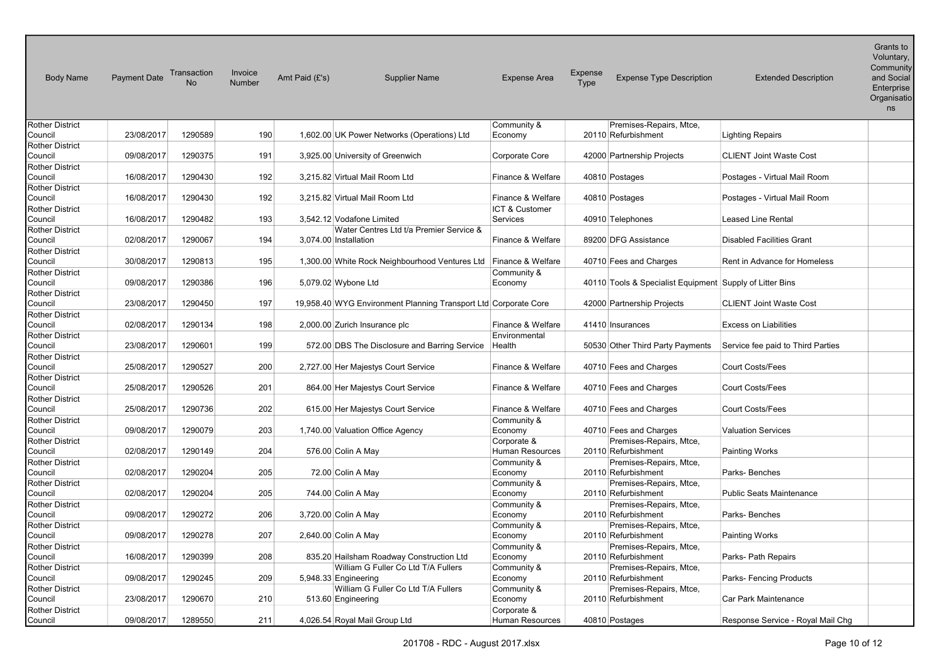| <b>Body Name</b>                  | <b>Payment Date</b> | Transaction<br><b>No</b> | Invoice<br><b>Number</b> | Amt Paid $(E's)$ | <b>Supplier Name</b>                                             | <b>Expense Area</b>            | Expense<br>Type | <b>Expense Type Description</b>                          | <b>Extended Description</b>       | Uranio iu<br>Voluntary,<br>Community<br>and Social<br>Enterprise<br>Organisatio<br>ns |
|-----------------------------------|---------------------|--------------------------|--------------------------|------------------|------------------------------------------------------------------|--------------------------------|-----------------|----------------------------------------------------------|-----------------------------------|---------------------------------------------------------------------------------------|
| <b>Rother District</b>            |                     |                          |                          |                  |                                                                  | Community &                    |                 | Premises-Repairs, Mtce,                                  |                                   |                                                                                       |
| Council                           | 23/08/2017          | 1290589                  | 190                      |                  | 1,602.00 UK Power Networks (Operations) Ltd                      | Economy                        |                 | 20110 Refurbishment                                      | <b>Lighting Repairs</b>           |                                                                                       |
| <b>Rother District</b>            |                     |                          |                          |                  |                                                                  |                                |                 |                                                          |                                   |                                                                                       |
| Council                           | 09/08/2017          | 1290375                  | 191                      |                  | 3,925.00 University of Greenwich                                 | Corporate Core                 |                 | 42000 Partnership Projects                               | <b>CLIENT Joint Waste Cost</b>    |                                                                                       |
| <b>Rother District</b>            |                     |                          |                          |                  |                                                                  |                                |                 |                                                          |                                   |                                                                                       |
| Council<br><b>Rother District</b> | 16/08/2017          | 1290430                  | 192                      |                  | 3.215.82 Virtual Mail Room Ltd                                   | Finance & Welfare              |                 | 40810 Postages                                           | Postages - Virtual Mail Room      |                                                                                       |
| Council                           | 16/08/2017          | 1290430                  | 192                      |                  | 3.215.82 Virtual Mail Room Ltd                                   | Finance & Welfare              |                 | 40810 Postages                                           | Postages - Virtual Mail Room      |                                                                                       |
| <b>Rother District</b>            |                     |                          |                          |                  |                                                                  | ICT & Customer                 |                 |                                                          |                                   |                                                                                       |
| Council                           | 16/08/2017          | 1290482                  | 193                      |                  | 3,542.12 Vodafone Limited                                        | Services                       |                 | 40910 Telephones                                         | Leased Line Rental                |                                                                                       |
| <b>Rother District</b>            |                     |                          |                          |                  | Water Centres Ltd t/a Premier Service &                          |                                |                 |                                                          |                                   |                                                                                       |
| Council                           | 02/08/2017          | 1290067                  | 194                      |                  | 3,074.00 Installation                                            | Finance & Welfare              |                 | 89200 DFG Assistance                                     | <b>Disabled Facilities Grant</b>  |                                                                                       |
| <b>Rother District</b>            |                     |                          |                          |                  |                                                                  |                                |                 |                                                          |                                   |                                                                                       |
| Council                           | 30/08/2017          | 1290813                  | 195                      |                  | 1,300.00 White Rock Neighbourhood Ventures Ltd Finance & Welfare |                                |                 | 40710 Fees and Charges                                   | Rent in Advance for Homeless      |                                                                                       |
| <b>Rother District</b>            |                     |                          |                          |                  |                                                                  | Community &                    |                 |                                                          |                                   |                                                                                       |
| Council                           | 09/08/2017          | 1290386                  | 196                      |                  | 5,079.02 Wybone Ltd                                              | Economy                        |                 | 40110 Tools & Specialist Equipment Supply of Litter Bins |                                   |                                                                                       |
| <b>Rother District</b>            |                     |                          |                          |                  |                                                                  |                                |                 |                                                          |                                   |                                                                                       |
| Council                           | 23/08/2017          | 1290450                  | 197                      |                  | 19,958.40 WYG Environment Planning Transport Ltd Corporate Core  |                                |                 | 42000 Partnership Projects                               | <b>CLIENT Joint Waste Cost</b>    |                                                                                       |
| <b>Rother District</b><br>Council | 02/08/2017          | 1290134                  | 198                      |                  | 2,000.00 Zurich Insurance plc                                    | Finance & Welfare              |                 | 41410 Insurances                                         | <b>Excess on Liabilities</b>      |                                                                                       |
| <b>Rother District</b>            |                     |                          |                          |                  |                                                                  | Environmental                  |                 |                                                          |                                   |                                                                                       |
| Council                           | 23/08/2017          | 1290601                  | 199                      |                  | 572.00 DBS The Disclosure and Barring Service                    | Health                         |                 | 50530 Other Third Party Payments                         | Service fee paid to Third Parties |                                                                                       |
| <b>Rother District</b>            |                     |                          |                          |                  |                                                                  |                                |                 |                                                          |                                   |                                                                                       |
| Council                           | 25/08/2017          | 1290527                  | 200                      |                  | 2,727.00 Her Majestys Court Service                              | Finance & Welfare              |                 | 40710 Fees and Charges                                   | <b>Court Costs/Fees</b>           |                                                                                       |
| <b>Rother District</b>            |                     |                          |                          |                  |                                                                  |                                |                 |                                                          |                                   |                                                                                       |
| Council                           | 25/08/2017          | 1290526                  | 201                      |                  | 864.00 Her Majestys Court Service                                | Finance & Welfare              |                 | 40710 Fees and Charges                                   | <b>Court Costs/Fees</b>           |                                                                                       |
| <b>Rother District</b>            |                     |                          |                          |                  |                                                                  |                                |                 |                                                          |                                   |                                                                                       |
| Council                           | 25/08/2017          | 1290736                  | 202                      |                  | 615.00 Her Majestys Court Service                                | Finance & Welfare              |                 | 40710 Fees and Charges                                   | <b>Court Costs/Fees</b>           |                                                                                       |
| <b>Rother District</b>            |                     |                          |                          |                  |                                                                  | Community &                    |                 |                                                          |                                   |                                                                                       |
| Council                           | 09/08/2017          | 1290079                  | 203                      |                  | 1,740.00 Valuation Office Agency                                 | Economy                        |                 | 40710 Fees and Charges                                   | <b>Valuation Services</b>         |                                                                                       |
| <b>Rother District</b><br>Council | 02/08/2017          | 1290149                  | 204                      |                  | 576.00 Colin A May                                               | Corporate &<br>Human Resources |                 | Premises-Repairs, Mtce,<br>20110 Refurbishment           | <b>Painting Works</b>             |                                                                                       |
| <b>Rother District</b>            |                     |                          |                          |                  |                                                                  | Community &                    |                 | Premises-Repairs, Mtce,                                  |                                   |                                                                                       |
| Council                           | 02/08/2017          | 1290204                  | 205                      |                  | 72.00 Colin A May                                                | Economy                        |                 | 20110 Refurbishment                                      | Parks-Benches                     |                                                                                       |
| <b>Rother District</b>            |                     |                          |                          |                  |                                                                  | Community &                    |                 | Premises-Repairs, Mtce,                                  |                                   |                                                                                       |
| Council                           | 02/08/2017          | 1290204                  | 205                      |                  | 744.00 Colin A May                                               | Economy                        |                 | 20110 Refurbishment                                      | <b>Public Seats Maintenance</b>   |                                                                                       |
| <b>Rother District</b>            |                     |                          |                          |                  |                                                                  | Community &                    |                 | Premises-Repairs, Mtce,                                  |                                   |                                                                                       |
| Council                           | 09/08/2017          | 1290272                  | 206                      |                  | 3,720.00 Colin A May                                             | Economy                        |                 | 20110 Refurbishment                                      | Parks-Benches                     |                                                                                       |
| <b>Rother District</b>            |                     |                          |                          |                  |                                                                  | Community &                    |                 | Premises-Repairs, Mtce,                                  |                                   |                                                                                       |
| Council                           | 09/08/2017          | 1290278                  | 207                      |                  | 2,640.00 Colin A May                                             | Economy                        |                 | 20110 Refurbishment                                      | <b>Painting Works</b>             |                                                                                       |
| <b>Rother District</b>            |                     |                          |                          |                  |                                                                  | Community &                    |                 | Premises-Repairs, Mtce,                                  |                                   |                                                                                       |
| Council                           | 16/08/2017          | 1290399                  | 208                      |                  | 835.20 Hailsham Roadway Construction Ltd                         | Economy                        |                 | 20110 Refurbishment                                      | Parks- Path Repairs               |                                                                                       |
| <b>Rother District</b><br>Council | 09/08/2017          | 1290245                  | 209                      |                  | William G Fuller Co Ltd T/A Fullers<br>5,948.33 Engineering      | Community &<br>Economy         |                 | Premises-Repairs, Mtce,<br>20110 Refurbishment           | Parks- Fencing Products           |                                                                                       |
| <b>Rother District</b>            |                     |                          |                          |                  | William G Fuller Co Ltd T/A Fullers                              | Community &                    |                 | Premises-Repairs, Mtce,                                  |                                   |                                                                                       |
| Council                           | 23/08/2017          | 1290670                  | 210                      |                  | 513.60 Engineering                                               | Economy                        |                 | 20110 Refurbishment                                      | Car Park Maintenance              |                                                                                       |
| Rother District                   |                     |                          |                          |                  |                                                                  | Corporate &                    |                 |                                                          |                                   |                                                                                       |
| Council                           | 09/08/2017          | 1289550                  | 211                      |                  | 4,026.54 Royal Mail Group Ltd                                    | <b>Human Resources</b>         |                 | 40810 Postages                                           | Response Service - Royal Mail Chq |                                                                                       |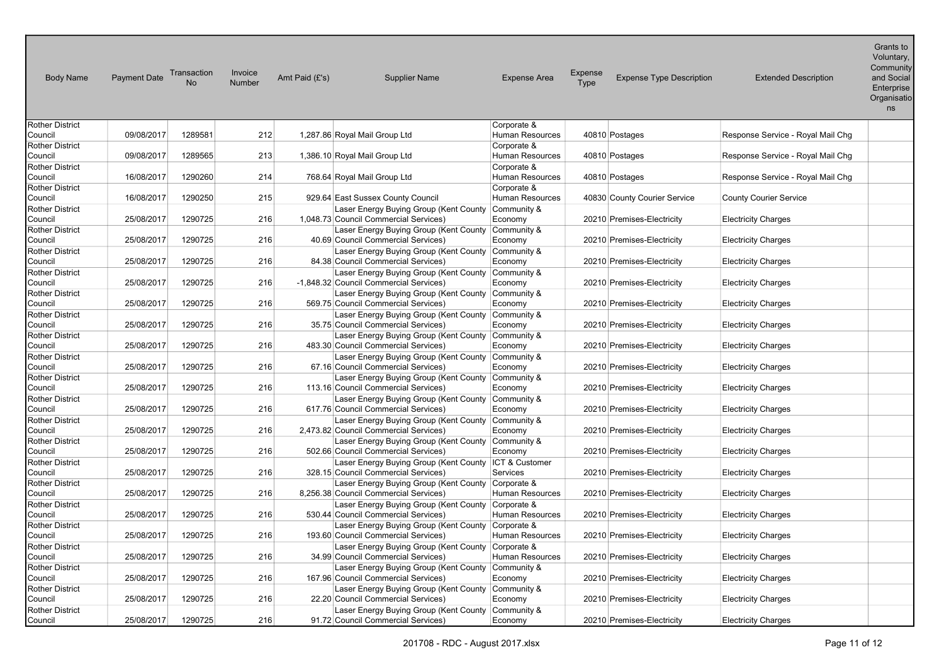| <b>Body Name</b>           | <b>Payment Date</b> | Transaction<br>No. | Invoice<br>Number | Amt Paid (£'s) | <b>Supplier Name</b>                                                                         | <b>Expense Area</b>    | Expense<br>Type | <b>Expense Type Description</b> | <b>Extended Description</b>       | Voluntary,<br>Community<br>and Social<br>Enterprise<br>Organisatio<br>ns |
|----------------------------|---------------------|--------------------|-------------------|----------------|----------------------------------------------------------------------------------------------|------------------------|-----------------|---------------------------------|-----------------------------------|--------------------------------------------------------------------------|
| Rother District            |                     |                    |                   |                |                                                                                              | Corporate &            |                 |                                 |                                   |                                                                          |
| Council                    | 09/08/2017          | 1289581            | 212               |                | 1,287.86 Royal Mail Group Ltd                                                                | Human Resources        |                 | 40810 Postages                  | Response Service - Royal Mail Chg |                                                                          |
| Rother District            |                     |                    |                   |                |                                                                                              | Corporate &            |                 |                                 |                                   |                                                                          |
| Council                    | 09/08/2017          | 1289565            | 213               |                | 1,386.10 Royal Mail Group Ltd                                                                | Human Resources        |                 | 40810 Postages                  | Response Service - Royal Mail Chg |                                                                          |
| Rother District            |                     |                    |                   |                |                                                                                              | Corporate &            |                 |                                 |                                   |                                                                          |
| Council                    | 16/08/2017          | 1290260            | 214               |                | 768.64 Royal Mail Group Ltd                                                                  | Human Resources        |                 | 40810 Postages                  | Response Service - Royal Mail Chg |                                                                          |
| Rother District            |                     |                    |                   |                |                                                                                              | Corporate &            |                 |                                 |                                   |                                                                          |
| Council                    | 16/08/2017          | 1290250            | 215               |                | 929.64 East Sussex County Council                                                            | Human Resources        |                 | 40830 County Courier Service    | <b>County Courier Service</b>     |                                                                          |
| Rother District            |                     |                    |                   |                | Laser Energy Buying Group (Kent County Community &                                           |                        |                 |                                 |                                   |                                                                          |
| Council                    | 25/08/2017          | 1290725            | 216               |                | 1,048.73 Council Commercial Services)                                                        | Economy                |                 | 20210 Premises-Electricity      | <b>Electricity Charges</b>        |                                                                          |
| Rother District            |                     |                    |                   |                | Laser Energy Buying Group (Kent County Community &                                           |                        |                 |                                 |                                   |                                                                          |
| Council                    | 25/08/2017          | 1290725            | 216               |                | 40.69 Council Commercial Services)                                                           | Economy                |                 | 20210 Premises-Electricity      | <b>Electricity Charges</b>        |                                                                          |
| Rother District            |                     |                    |                   |                | Laser Energy Buying Group (Kent County                                                       | Community &            |                 |                                 |                                   |                                                                          |
| Council                    | 25/08/2017          | 1290725            | 216               |                | 84.38 Council Commercial Services)                                                           | Economy                |                 | 20210 Premises-Electricity      | <b>Electricity Charges</b>        |                                                                          |
| Rother District            | 25/08/2017          | 1290725            | 216               |                | Laser Energy Buying Group (Kent County Community &                                           |                        |                 |                                 |                                   |                                                                          |
| Council<br>Rother District |                     |                    |                   |                | -1,848.32 Council Commercial Services)<br>Laser Energy Buying Group (Kent County Community & | Economy                |                 | 20210 Premises-Electricity      | <b>Electricity Charges</b>        |                                                                          |
| Council                    | 25/08/2017          | 1290725            | 216               |                | 569.75 Council Commercial Services)                                                          | Economy                |                 | 20210 Premises-Electricity      | <b>Electricity Charges</b>        |                                                                          |
| Rother District            |                     |                    |                   |                | Laser Energy Buying Group (Kent County Community &                                           |                        |                 |                                 |                                   |                                                                          |
| Council                    | 25/08/2017          | 1290725            | 216               |                | 35.75 Council Commercial Services)                                                           | Economy                |                 | 20210 Premises-Electricity      | <b>Electricity Charges</b>        |                                                                          |
| Rother District            |                     |                    |                   |                | Laser Energy Buying Group (Kent County Community &                                           |                        |                 |                                 |                                   |                                                                          |
| Council                    | 25/08/2017          | 1290725            | 216               |                | 483.30 Council Commercial Services)                                                          | Economy                |                 | 20210 Premises-Electricity      | <b>Electricity Charges</b>        |                                                                          |
| Rother District            |                     |                    |                   |                | Laser Energy Buying Group (Kent County                                                       | Community &            |                 |                                 |                                   |                                                                          |
| Council                    | 25/08/2017          | 1290725            | 216               |                | 67.16 Council Commercial Services)                                                           | Economy                |                 | 20210 Premises-Electricity      | <b>Electricity Charges</b>        |                                                                          |
| Rother District            |                     |                    |                   |                | Laser Energy Buying Group (Kent County Community &                                           |                        |                 |                                 |                                   |                                                                          |
| Council                    | 25/08/2017          | 1290725            | 216               |                | 113.16 Council Commercial Services)                                                          | Economy                |                 | 20210 Premises-Electricity      | <b>Electricity Charges</b>        |                                                                          |
| Rother District            |                     |                    |                   |                | Laser Energy Buying Group (Kent County Community &                                           |                        |                 |                                 |                                   |                                                                          |
| Council                    | 25/08/2017          | 1290725            | 216               |                | 617.76 Council Commercial Services)                                                          | Economy                |                 | 20210 Premises-Electricity      | <b>Electricity Charges</b>        |                                                                          |
| Rother District            |                     |                    |                   |                | Laser Energy Buying Group (Kent County Community &                                           |                        |                 |                                 |                                   |                                                                          |
| Council                    | 25/08/2017          | 1290725            | 216               |                | 2,473.82 Council Commercial Services)                                                        | Economy                |                 | 20210 Premises-Electricity      | <b>Electricity Charges</b>        |                                                                          |
| Rother District            |                     | 1290725            |                   |                | Laser Energy Buying Group (Kent County                                                       | Community &            |                 |                                 |                                   |                                                                          |
| Council<br>Rother District | 25/08/2017          |                    | 216               |                | 502.66 Council Commercial Services)<br>Laser Energy Buying Group (Kent County ICT & Customer | Economy                |                 | 20210 Premises-Electricity      | <b>Electricity Charges</b>        |                                                                          |
| Council                    | 25/08/2017          | 1290725            | 216               |                | 328.15 Council Commercial Services)                                                          | Services               |                 | 20210 Premises-Electricity      | <b>Electricity Charges</b>        |                                                                          |
| Rother District            |                     |                    |                   |                | Laser Energy Buying Group (Kent County Corporate &                                           |                        |                 |                                 |                                   |                                                                          |
| Council                    | 25/08/2017          | 1290725            | 216               |                | 8,256.38 Council Commercial Services)                                                        | Human Resources        |                 | 20210 Premises-Electricity      | <b>Electricity Charges</b>        |                                                                          |
| Rother District            |                     |                    |                   |                | Laser Energy Buying Group (Kent County Corporate &                                           |                        |                 |                                 |                                   |                                                                          |
| Council                    | 25/08/2017          | 1290725            | 216               |                | 530.44 Council Commercial Services)                                                          | <b>Human Resources</b> |                 | 20210 Premises-Electricity      | <b>Electricity Charges</b>        |                                                                          |
| Rother District            |                     |                    |                   |                | Laser Energy Buying Group (Kent County                                                       | Corporate &            |                 |                                 |                                   |                                                                          |
| Council                    | 25/08/2017          | 1290725            | 216               |                | 193.60 Council Commercial Services)                                                          | Human Resources        |                 | 20210 Premises-Electricity      | <b>Electricity Charges</b>        |                                                                          |
| Rother District            |                     |                    |                   |                | Laser Energy Buying Group (Kent County Corporate &                                           |                        |                 |                                 |                                   |                                                                          |
| Council                    | 25/08/2017          | 1290725            | 216               |                | 34.99 Council Commercial Services)                                                           | Human Resources        |                 | 20210 Premises-Electricity      | <b>Electricity Charges</b>        |                                                                          |
| Rother District            |                     |                    |                   |                | Laser Energy Buying Group (Kent County Community &                                           |                        |                 |                                 |                                   |                                                                          |
| Council                    | 25/08/2017          | 1290725            | 216               |                | 167.96 Council Commercial Services)                                                          | Economy                |                 | 20210 Premises-Electricity      | <b>Electricity Charges</b>        |                                                                          |
| Rother District            |                     |                    |                   |                | Laser Energy Buying Group (Kent County Community &                                           |                        |                 |                                 |                                   |                                                                          |
| Council<br>Rother District | 25/08/2017          | 1290725            | 216               |                | 22.20 Council Commercial Services)<br>Laser Energy Buying Group (Kent County Community &     | Economy                |                 | 20210 Premises-Electricity      | <b>Electricity Charges</b>        |                                                                          |
| Council                    | 25/08/2017          | 1290725            | 216               |                | 91.72 Council Commercial Services)                                                           | Economy                |                 | 20210 Premises-Electricity      | <b>Electricity Charges</b>        |                                                                          |
|                            |                     |                    |                   |                |                                                                                              |                        |                 |                                 |                                   |                                                                          |